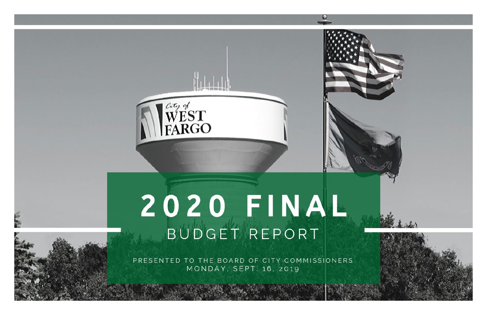

# 2020 FINAL BUDGET REPORT

PRESENTED TO THE BOARD OF CITY COMMISSIONERS MONDAY, SEPT. 16, 2019

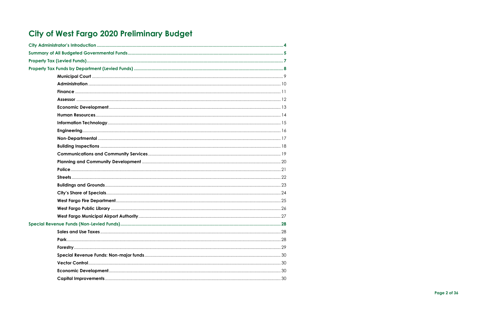## City of West Fargo 2020 Preliminary Budget

Page 2 of 36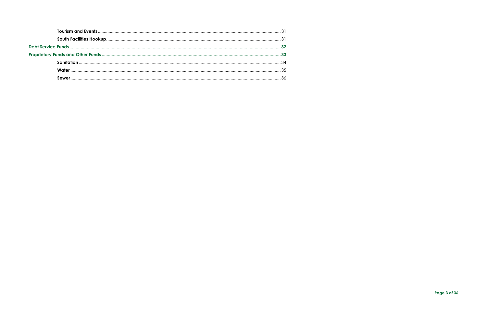Page 3 of 36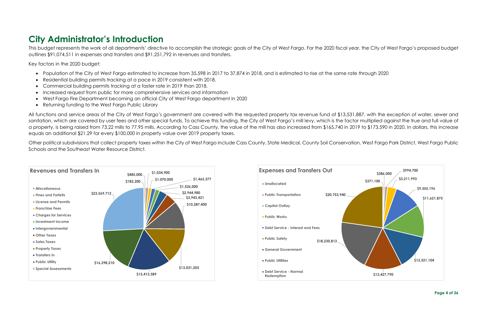## <span id="page-3-0"></span>**City Administrator's Introduction**

This budget represents the work of all departments' directive to accomplish the strategic goals of the City of West Fargo. For the 2020 fiscal year, the City of West Fargo's proposed budget outlines \$91,074,511 in expenses and transfers and \$91,251,792 in revenues and transfers.

Key factors in the 2020 budget:

- Population of the City of West Fargo estimated to increase from 35,598 in 2017 to 37,874 in 2018, and is estimated to rise at the same rate through 2020
- Residential building permits tracking at a pace in 2019 consistent with 2018.
- Commercial building permits tracking at a faster rate in 2019 than 2018.
- Increased request from public for more comprehensive services and information
- West Fargo Fire Department becoming an official City of West Fargo department in 2020
- Returning funding to the West Fargo Public Library

All functions and service areas of the City of West Fargo's government are covered with the requested property tax revenue fund of \$13,531,887, with the exception of water, sewer and sanitation, which are covered by user fees and other special funds. To achieve this funding, the City of West Fargo's mill levy, which is the factor multiplied against the true and full value of a property, is being raised from 73.22 mills to 77.95 mills. According to Cass County, the value of the mill has also increased from \$165,740 in 2019 to \$173,590 in 2020. In dollars, this increase equals an additional \$21.29 for every \$100,000 in property value over 2019 property taxes.

Other political subdivisions that collect property taxes within the City of West Fargo include Cass County, State Medical, County Soil Conservation, West Fargo Park District, West Fargo Public Schools and the Southeast Water Resource District.

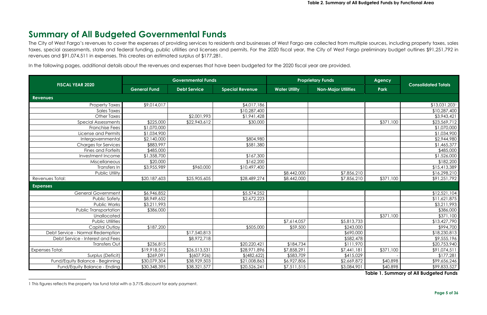## <span id="page-4-1"></span><span id="page-4-0"></span>**Summary of All Budgeted Governmental Funds**

The City of West Fargo's revenues to cover the expenses of providing services to residents and businesses of West Fargo are collected from multiple sources, including property taxes, sales taxes, special assessments, state and federal funding, public utilities and licenses and permits. For the 2020 fiscal year, the City of West Fargo preliminary budget outlines \$91,251,792 in revenues and \$91,074,511 in expenses. This creates an estimated surplus of \$177,281.

In the following pages, additional details about the revenues and expenses that have been budgeted for the 2020 fiscal year are provided.

| <b>FISCAL YEAR 2020</b>          |                     | <b>Governmental Funds</b> |                          |                      | <b>Proprietary Funds</b>   | <b>Agency</b> | <b>Consolidated Totals</b> |
|----------------------------------|---------------------|---------------------------|--------------------------|----------------------|----------------------------|---------------|----------------------------|
|                                  | <b>General Fund</b> | <b>Debt Service</b>       | <b>Special Revenue</b>   | <b>Water Utility</b> | <b>Non-Major Utilities</b> | Park          |                            |
| <b>Revenues</b>                  |                     |                           |                          |                      |                            |               |                            |
| <b>Property Taxes</b>            | \$9,014,017         |                           | \$4,017,186              |                      |                            |               | \$13,031,2031              |
| <b>Sales Taxes</b>               |                     |                           | \$10,287,400             |                      |                            |               | \$10,287,400               |
| <b>Other Taxes</b>               |                     | \$2,001,993               | \$1,941,428              |                      |                            |               | \$3,943,421                |
| Special Assessments              | \$225,000           | \$22,943,612              | \$30,000                 |                      |                            | \$371,100     | \$23,569,712               |
| <b>Franchise Fees</b>            | \$1,070,000         |                           |                          |                      |                            |               | \$1,070,000                |
| License and Permits              | \$1,034,900         |                           |                          |                      |                            |               | \$1,034,900                |
| Intergovernmental                | \$2,140,000         |                           | \$804,980                |                      |                            |               | \$2,944,980                |
| <b>Charges for Services</b>      | \$883,997           |                           | \$581,380                |                      |                            |               | \$1,465,377                |
| Fines and Forfeits               | \$485,000           |                           |                          |                      |                            |               | \$485,000                  |
| Investment Income                | \$1,358,700         |                           | \$167,300                |                      |                            |               | \$1,526,000                |
| Miscellaneous                    | \$20,000            |                           | \$162,200                |                      |                            |               | \$182,200                  |
| Transfers In                     | \$3,955,989         | \$960,000                 | \$10,497,400             |                      |                            |               | \$15,413,389               |
| Public Utility                   |                     |                           |                          | \$8,442,000          | \$7,856,210                |               | \$16,298,210               |
| Revenues Total:                  | \$20,187,603        | \$25,905,605              | \$28,489,274             | \$8,442,000          | \$7,856,210                | \$371,100     | \$91,251,792               |
| <b>Expenses</b>                  |                     |                           |                          |                      |                            |               |                            |
| <b>General Government</b>        | \$6,946,852         |                           | \$5,574,252              |                      |                            |               | \$12,521,104               |
| <b>Public Safety</b>             | \$8,949,652         |                           | \$2,672,223              |                      |                            |               | \$11,621,875               |
| Public Works                     | \$3,211,993         |                           |                          |                      |                            |               | \$3,211,993                |
| Public Transportation            | \$386,000           |                           |                          |                      |                            |               | \$386,000                  |
| Unallocated                      |                     |                           |                          |                      |                            | \$371,100     | \$371,100                  |
| <b>Public Utilities</b>          |                     |                           |                          | \$7,614,057          | \$5,813,733                |               | \$13,427,790               |
| Capital Outlay                   | \$187,200           |                           | \$505,000                | \$59,500             | \$243,000                  |               | \$994,700                  |
| Debt Service - Normal Redemption |                     | \$17,540,813              |                          |                      | \$690,000                  |               | \$18,230,813               |
| Debt Service - Interest and Fees |                     | \$8,972,718               |                          |                      | \$582,478                  |               | \$9,555,196                |
| Transfers Out                    | \$236,815           |                           | \$20,220,421             | \$184,734            | \$111,970                  |               | \$20,753,940               |
| <b>Expenses Total:</b>           | \$19,918,512        | \$26,513,531              | $\overline{$}28,971,896$ | \$7,858,291          | \$7,441,181                | \$371,100     | \$91,074,511               |
| Surplus (Deficit)                | \$269,091           | \$ (607, 926)             | \$ (482,622)             | \$583,709            | \$415,029                  |               | \$177,281                  |
| Fund/Equity Balance - Beginning  | \$30,079,304        | \$38,929,503              | \$21,008,863             | \$6,927,806          | \$2,669,872                | \$40,898      | \$99,656,246               |
| Fund/Equity Balance - Ending     | \$30,348,395        | \$38,321,577              | \$20,526,241             | \$7,511,515          | \$3,084,901                | \$40,898      | \$99,833,527               |

<sup>1</sup> This figures reflects the property tax fund total with a 3.71% discount for early payment.

**Table 1. Summary of All Budgeted Funds**

l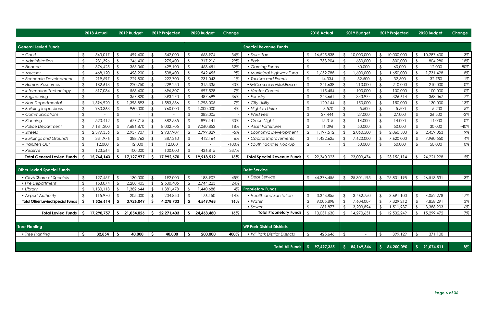**Page 6 of 36**

|                                         |                | 2018 Actual |      | 2019 Budget |            | 2019 Projected |              | 2020 Budget | <b>Change</b> |                                    |   | 2018 Actual |              | 2019 Budget  |               | 2019 Projected |              | 2020 Budget  | <b>Change</b> |
|-----------------------------------------|----------------|-------------|------|-------------|------------|----------------|--------------|-------------|---------------|------------------------------------|---|-------------|--------------|--------------|---------------|----------------|--------------|--------------|---------------|
| <b>General Levied Funds</b>             |                |             |      |             |            |                |              |             |               | <b>Special Revenue Funds</b>       |   |             |              |              |               |                |              |              |               |
| • Court                                 | $\mathcal{L}$  | 543,017     |      | 499,400     |            | 542,000        |              | 668,974     | 34%           | Sales Tax                          |   | 16,525,538  |              | 10,000,000   |               | 10,000,000     |              | 10,287,400   | $3\%$         |
| • Administration                        | $\mathcal{L}$  | 231,396     |      | 246,400     |            | 275,400        |              | 317,216     | 29%           | $\bullet$ Park                     |   | 733,904     |              | 680,000      |               | 800,000        |              | 804,980      | 18%           |
| • Finance                               |                | 376,425     |      | 355,060     |            | 429,100        |              | 468,451     | 32%           | • Gaming Funds                     |   |             |              | 60,000       |               | 60,000         |              | 12,000       | $-80\%$       |
| • Assessor                              | . የ            | 468,120     |      | 498,200     |            | 508,400        |              | 542,455     | $9\%$         | · Municipal Highway Fund           |   | ,652,788    |              | ,600,000     |               | ,650,000       |              | ,731,428     | $8\%$         |
| • Economic Development                  |                | 219,697     |      | 229,800     |            | 222,700        |              | 231,043     | 1%            | • Tourism and Events               |   | 14,334      |              | 32,500       |               | 32,500         |              | 32,750       | 1%            |
| • Human Resources                       |                | 182,613     |      | 220,750     |            | 229,250        |              | 315,335     | 43%           | • FM Convention Visitor's Bureau   |   | 241,638     |              | 210,000      |               | 210,000        |              | 210,000      | 0%            |
| • Information Technology                | $\mathcal{L}$  | 617,084     |      | 558,400     |            | 696,307        |              | 597,528     | 7%            | • Vector Control                   |   | 115,454     |              | 100,000      |               | 100,000        |              | 100,000      | 0%            |
| • Engineering                           | $\mathcal{L}$  |             |      | 357,820     |            | 393,270        |              | 487,699     | 36%           | • Forestry                         |   | 243,661     |              | 343,974      |               | 326,614        |              | 368,067      | 7%            |
| • Non-Departmental                      | ና              | ,596,920    |      | ,398,893    |            | ,583,686       |              | ,298,005    | $-7%$         | • City Utility                     |   | 120,144     |              | 150,000      |               | 150,000        |              | 130,000      | $-13%$        |
| • Building Inspections                  |                | 960,363     |      | 960,000     |            | 960,000        |              | ,000,000    | $4\%$         | • Night to Unite                   |   | 3,570       |              | 5,500        |               | 5,500          |              | 5,200        | $-5%$         |
| • Communications                        | $\mathfrak{F}$ |             |      |             |            |                |              | 383,005     |               | • West Fest                        |   | 27,444      |              | 27,000       |               | 27,000         |              | 26,500       | $-2\%$        |
| • Planning                              | ና              | 520,412     |      | 677,715     |            | 682,585        |              | 899,141     | 33%           | • Cruise Night                     |   | 15,315      |              | 14,000       |               | 14,000         |              | 14,000       | $0\%$         |
| • Police Department                     |                | 7,181,200   |      | 7,686,870   |            | 8,032,705      |              | 9,060,852   | 18%           | • Asset Forfeitures                |   | 16,096      |              | 50,000       |               | 50,000         |              | 30,000       | $-40\%$       |
| • Streets                               |                | 2,399,356   |      | 2,937,907   |            | 2,937,907      |              | 2,799,829   | $-5%$         | • Economic Development             |   | ,197,512    |              | 2,060,500    |               | 2,060,500      |              | 2,459,053    | 19%           |
| • Buildings and Grounds                 |                | 331,976     |      | 388,762     |            | 387,360        |              | 412,164     | $6\%$         | • Capital Improvements             |   | ,432,625    |              | 7,620,000    |               | 7,620,000      |              | 7,960,550    | $4\%$         |
| • Transfers Out                         | ና              | 12,000      |      | 12,000      |            | 12,000         |              |             | $-100%$       | • South Facilities Hookup          |   |             |              | 50,000       |               | 50,000         |              | 50,000       | 0%            |
| • Reserve                               |                | 123,564     |      | 100,000     |            | 100,000        |              | 436,815     | 337%          |                                    |   |             |              |              |               |                |              |              |               |
| <b>Total General Levied Funds</b>       |                | 15,764,143  | -S   | 17,127,977  |            | 17,992,670     |              | 19,918,512  | $16\%$        | <b>Total Special Revenue Funds</b> |   | 22,340,023  |              | 23,003,474   |               | 23,156,114     |              | 24, 221, 928 | $5\%$         |
|                                         |                |             |      |             |            |                |              |             |               |                                    |   |             |              |              |               |                |              |              |               |
| <b>Other Levied Special Funds</b>       |                |             |      |             |            |                |              |             |               | <b>Debt Service</b>                |   |             |              |              |               |                |              |              |               |
| • City's Share of Specials              | $\mathcal{S}$  | 127,457     |      | 130,000     |            | 192,000        |              | 188,907     | 45%           | • Debt Service                     |   | 44,376,455  |              | 25,801,195   |               | 25,801,195     |              | 26,513,531   | $3\%$         |
| • Fire Department                       | $\mathcal{L}$  | 153,074     |      | 2,208,405   |            | 2,500,405      |              | 2,744,223   | 24%           |                                    |   |             |              |              |               |                |              |              |               |
| • Library                               |                | ,130,113    |      | ,382,644    |            | ,381,478       |              | ,440,688    | $4\%$         | <b>Proprietary Funds</b>           |   |             |              |              |               |                |              |              |               |
| • Airport Authority                     |                | 115,970     |      | 205,000     |            | 204,850        |              | 176,150     | $-14%$        | • Health and Sanitation            |   | 3,343,855   |              | 3,462,750    |               | 3,691,100      |              | 4,052,278    | 17%           |
| <b>Total Other Levied Special Funds</b> |                | 1,526,614   | -S   | 3,926,049   |            | 4,278,733      | -S           | 4,549,968   | 16%           | • Water                            |   | 9,005,898   |              | 7,604,007    |               | 7,329,212      |              | 7,858,291    | $3\%$         |
|                                         |                |             |      |             |            |                |              |             |               | • Sewer                            |   | 681,877     |              | 3,203,894    | $\mathcal{S}$ | 1,511,937      |              | 3,388,903    | $6\%$         |
| <b>Total Levied Funds</b>               |                | 17,290,757  | -S   | 21,054,026  |            | 22,271,403     | S.           | 24,468,480  | 16%           | <b>Total Proprietary Funds</b>     |   | 13,031,630  |              | 14,270,651   |               | 12,532,249     |              | 15,299,472   | 7%            |
|                                         |                |             |      |             |            |                |              |             |               |                                    |   |             |              |              |               |                |              |              |               |
| <b>Tree Planting</b>                    |                |             |      |             |            |                |              |             |               | <b>WF Park District Districts</b>  |   |             |              |              |               |                |              |              |               |
| • Tree Planting                         | $\mathsf{S}$   | 32,854      | - \$ | 40,000      | $\vert$ \$ | 40,000         | $\mathsf{S}$ | 200,000     | 400%          | • WF Park District Districts       |   | 425,646     |              | $\sim$       |               | 399,129        | - \$         | 371,100      |               |
|                                         |                |             |      |             |            |                |              |             |               | <b>Total All Funds</b>             | S | 97,497,365  | $\mathsf{S}$ | 84, 169, 346 | $\mathsf{S}$  | 84,200,090     | $\mathsf{S}$ | 91,074,511   | 8%            |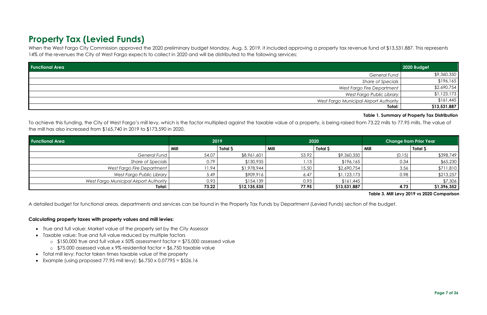## <span id="page-6-0"></span>**Property Tax (Levied Funds)**

When the West Fargo City Commission approved the 2020 preliminary budget Monday, Aug. 5, 2019, it included approving a property tax revenue fund of \$13,531,887. This represents 14% of the revenues the City of West Fargo expects to collect in 2020 and will be distributed to the following services:

To achieve this funding, the City of West Fargo's mill levy, which is the factor multiplied against the taxable value of a property, is being raised from 73.22 mills to 77.95 mills. The value of the mill has also increased from \$165,740 in 2019 to \$173,590 in 2020.

- True and full value: Market value of the property set by the City Assessor
- Taxable value: True and full value reduced by multiple factors
	- o \$150,000 true and full value x 50% assessment factor = \$75,000 assessed value
	- o \$75,000 assessed value x 9% residential factor = \$6,750 taxable value
- Total mill levy: Factor taken times taxable value of the property
- Example (using proposed 77.95 mill levy):  $$6,750 \times 0.07795 = $526.16$

| <b>Functional Area</b>                 |       | 2019            | 2020  |              | <b>Change from Prior Year</b> |             |  |
|----------------------------------------|-------|-----------------|-------|--------------|-------------------------------|-------------|--|
|                                        | Mill  | <b>Total \$</b> | Mill  | Total \$     | Mill                          | Total \$    |  |
| General Fund                           | 54.07 | \$8,961,601     | 53.92 | \$9,360,350  | (0.15)                        | \$398,749   |  |
| Share of Specials                      | 0.79  | \$130,935       | 1.13  | \$196,165    | 0.34                          | \$65,230    |  |
| West Fargo Fire Department             | 11.94 | \$1,978,944     | 15.50 | \$2,690,754  | 3.56                          | \$711,810   |  |
| West Fargo Public Library              | 5.49  | \$909,916       | 6.47  | \$1,123,173  | 0.98                          | \$213,257   |  |
| West Fargo Municipal Airport Authority | 0.93  | \$154,139       | 0.93  | \$161,445    |                               | \$7,306     |  |
| Total:                                 | 73.22 | \$12,135,535    | 77.95 | \$13,531,887 | 4.73                          | \$1,396,352 |  |

A detailed budget for functional areas, departments and services can be found in the Property Tax Funds by Department (Levied Funds) section of the budget.

#### **Calculating property taxes with property values and mill levies:**

| <b>Functional Area</b>                 | 2020 Budget  |
|----------------------------------------|--------------|
| General Fund                           | \$9,360,350  |
| Share of Specials                      | \$196,165    |
| West Fargo Fire Department             | \$2,690,754  |
| West Fargo Public Library              | \$1,123,173  |
| West Fargo Municipal Airport Authority | \$161,445    |
| Total:                                 | \$13,531,887 |

**Table 1. Summary of Property Tax Distribution**

**Table 3. Mill Levy 2019 vs 2020 Comparison**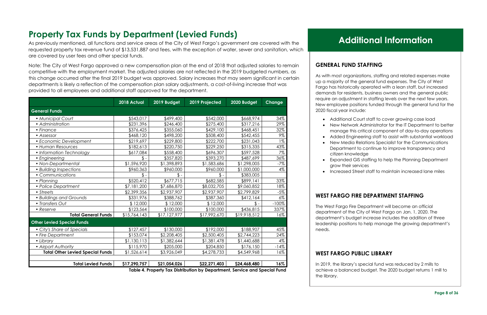## <span id="page-7-0"></span>**Property Tax Funds by Department (Levied Funds)**

As previously mentioned, all functions and service areas of the City of West Fargo's government are covered with the requested property tax revenue fund of \$13,531,887 and fees, with the exception of water, sewer and sanitation, which are covered by user fees and other special funds.

Note: The City of West Fargo approved a new compensation plan at the end of 2018 that adjusted salaries to remain competitive with the employment market. The adjusted salaries are not reflected in the 2019 budgeted numbers, as this change occurred after the final 2019 budget was approved. Salary increases that may seem significant in certain departments is likely a reflection of the compensation plan salary adjustments, a cost-of-living increase that was provided to all employees and additional staff approved for the department.

|                                         | 2018 Actual     | 2019 Budget     | 2019 Projected | 2020 Budget  | <b>Change</b> |
|-----------------------------------------|-----------------|-----------------|----------------|--------------|---------------|
| <b>General Funds</b>                    |                 |                 |                |              |               |
| • Municipal Court                       | \$543,017       | \$499,400       | \$542,000      | \$668,974    | 34%           |
| • Administration                        | \$231,396       | \$246,400       | \$275,400      | \$317,216    | 29%           |
| • Finance                               | \$376,425       | \$355,060       | \$429,100      | \$468,451    | 32%           |
| • Assessor                              | \$468,120       | \$498,200       | \$508,400      | \$542,455    | 9%            |
| • Economic Development                  | \$219,697       | \$229,800       | \$222,700      | \$231,043    | $1\%$         |
| • Human Resources                       | \$182,613       | \$220,750       | \$229,250      | \$315,335    | 43%           |
| • Information Technology                | \$617,084       | \$558,400       | \$696,307      | \$597,528    | 7%            |
| • Engineering                           | $\mathsf{\$}$ - | \$357,820       | \$393,270      | \$487,699    | 36%           |
| • Non-Departmental                      | \$1,596,920     | \$1,398,893     | \$1,583,686    | \$1,298,005  | $-7%$         |
| • Building Inspections                  | \$960,363       | \$960,000       | \$960,000      | \$1,000,000  | 4%            |
| • Communications                        | $\mathbb{S}$ -  | $\mathsf{\$}$ - | $\mathbb{S}$ - | \$383,005    |               |
| • Planning                              | \$520,412       | \$677,715       | \$682,585      | \$899,141    | 33%           |
| • Police Department                     | \$7,181,200     | \$7,686,870     | \$8,032,705    | \$9,060,852  | 18%           |
| • Streets                               | \$2,399,356     | \$2,937,907     | \$2,937,907    | \$2,799,829  | $-5%$         |
| • Buildings and Grounds                 | \$331,976       | \$388,762       | \$387,360      | \$412,164    | $6\%$         |
| • Transfers Out                         | \$12,000        | \$12,000        | \$12,000       | \$.          | $-100%$       |
| • Reserve                               | \$123,564       | \$100,000       | \$100,000      | \$436,815    | 337%          |
| <b>Total General Funds</b>              | \$15,764,143    | \$17,127,977    | \$17,992,670   | \$19,918,512 | 16%           |
| <b>Other Levied Special Funds</b>       |                 |                 |                |              |               |
| • City's Share of Specials              | \$127,457       | \$130,000       | \$192,000      | \$188,907    | 45%           |
| • Fire Department                       | \$153,074       | \$2,208,405     | \$2,500,405    | \$2,744,223  | 24%           |
| • Library                               | \$1,130,113     | \$1,382,644     | \$1,381,478    | \$1,440,688  | 4%            |
| • Airport Authority                     | \$115,970       | \$205,000       | \$204,850      | \$176,150    | $-14%$        |
| <b>Total Other Levied Special Funds</b> | \$1,526,614     | \$3,926,049     | \$4,278,733    | \$4,549,968  | 16%           |
| <b>Total Levied Funds</b>               | \$17,290,757    | \$21,054,026    | \$22,271,403   | \$24,468,480 | 16%           |

 **Table 4. Property Tax Distribution by Department, Service and Special Fund**

### **GENERAL FUND STAFFING**

As with most organizations, staffing and related expenses make up a majority of the general fund expenses. The City of West Fargo has historically operated with a lean staff, but increased demands for residents, business owners and the general public require an adjustment in staffing levels over the next few years. New employee positions funded through the general fund for the 2020 fiscal year include:

• Additional Court staff to cover growing case load • New Network Administrator for the IT Department to better manage this critical component of day-to-day operations • Added Engineering staff to assist with substantial workload • New Media Relations Specialist for the Communications Department to continue to improve transparency and

• Expanded GIS staffing to help the Planning Department

- 
- 
- - citizen knowledge
	- grow their services
	-

• Increased Street staff to maintain increased lane miles

#### **WEST FARGO FIRE DEPARTMENT STAFFING**

The West Fargo Fire Department will become an official department of the City of West Fargo on Jan. 1, 2020. The department's budget increase includes the addition of three leadership positions to help manage the growing department's needs.

#### **WEST FARGO PUBLIC LIBRARY**

In 2019, the library's special fund was reduced by 2 mills to achieve a balanced budget. The 2020 budget returns 1 mill to the library.

## **Additional Information**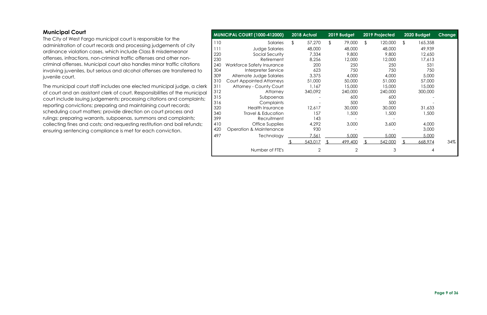#### <span id="page-8-0"></span>**Municipal Court**

The City of West Fargo municipal court is responsible for the administration of court records and processing judgements of city ordinance violation cases, which include Class B misdemeanor offenses, infractions, non-criminal traffic offenses and other noncriminal offenses. Municipal court also handles minor traffic citations involving juveniles, but serious and alcohol offenses are transferred to juvenile court.

The municipal court staff includes one elected municipal judge, a clerk of court and an assistant clerk of court. Responsibilities of the municipal court include issuing judgements; processing citations and complaints; reporting convictions; preparing and maintaining court records; scheduling court matters; provide direction on court process and rulings; preparing warrants, subpoenas, summons and complaints; collecting fines and costs; and requesting restitution and bail refunds; ensuring sentencing compliance is met for each conviction.

|     | <b>MUNICIPAL COURT (1000-412000)</b> | 2018 Actual    | 2019 Budget    | 2019 Projected | 2020 Budget   | <b>Change</b> |
|-----|--------------------------------------|----------------|----------------|----------------|---------------|---------------|
| 110 | Salaries                             | \$<br>57,270   | \$<br>79,000   | \$<br>120,000  | \$<br>165,358 |               |
| 111 | <b>Judge Salaries</b>                | 48,000         | 48,000         | 48,000         | 49,939        |               |
| 220 | Social Security                      | 7,334          | 9,800          | 9,800          | 12,650        |               |
| 230 | Retirement                           | 8,256          | 12,000         | 12,000         | 17,613        |               |
| 240 | Workforce Safety Insurance           | 200            | 250            | 250            | 531           |               |
| 304 | Interpreter Service                  | 623            | 750            | 750            | 750           |               |
| 309 | Alternate Judge Salaries             | 3,375          | 4,000          | 4,000          | 5,000         |               |
| 310 | <b>Court Appointed Attorneys</b>     | 51,000         | 50,000         | 51,000         | 57,000        |               |
| 311 | Attorney - County Court              | 1,167          | 15,000         | 15,000         | 15,000        |               |
| 312 | Attorney                             | 340,092        | 240,000        | 240,000        | 300,000       |               |
| 315 | Subpoenas                            |                | 600            | 600            |               |               |
| 316 | Complaints                           |                | 500            | 500            |               |               |
| 320 | <b>Health Insurance</b>              | 12,617         | 30,000         | 30,000         | 31,633        |               |
| 340 | Travel & Education                   | 157            | 1,500          | 1,500          | 1,500         |               |
| 399 | Recruitment                          | 143            |                |                |               |               |
| 410 | Office Supplies                      | 4,292          | 3,000          | 3,600          | 4,000         |               |
| 420 | Operation & Maintenance              | 930            |                |                | 3,000         |               |
| 497 | Technology                           | 7,561          | 5,000          | 5,000          | 5,000         |               |
|     |                                      | 543,017        | \$<br>499,400  | 542,000        | \$<br>668,974 | 34%           |
|     | Number of FTE's                      | $\overline{2}$ | $\overline{2}$ | 3              | 4             |               |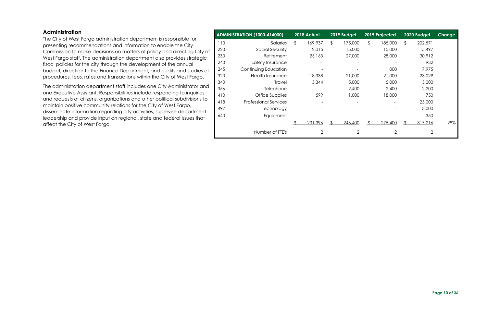#### <span id="page-9-0"></span>**Administration**

The City of West Fargo administration department is responsible for presenting recommendations and information to enable the City Commission to make decisions on matters of policy and directing City of West Fargo staff. The administration department also provides strategic fiscal policies for the city through the development of the annual budget, direction to the Finance Department, and audits and studies of procedures, fees, rates and transactions within the City of West Fargo.

The administration department staff includes one City Administrator and one Executive Assistant. Responsibilities include responding to inquiries and requests of citizens, organizations and other political subdivisions to maintain positive community relations for the City of West Fargo, disseminate information regarding city activities, supervise department leadership and provide input on regional, state and federal issues that affect the City of West Fargo.

|     | <b>ADMINISTRATION (1000-414000)</b> | 2018 Actual              | 2019 Budget    | 2019 Projected |    | 2020 Budget    | Change |
|-----|-------------------------------------|--------------------------|----------------|----------------|----|----------------|--------|
| 110 | Salaries                            | \$<br>169,937            | \$<br>175,000  | \$<br>185,000  | \$ | 202,571        |        |
| 220 | Social Security                     | 12,015                   | 15,000         | 15,000         |    | 15,497         |        |
| 230 | Retirement                          | 25,163                   | 27,000         | 28,000         |    | 30,912         |        |
| 240 | Safety Insurance                    | $\overline{\phantom{a}}$ |                |                |    | 932            |        |
| 245 | Continuing Education                |                          |                | 1,000          |    | 7,975          |        |
| 320 | <b>Health Insurance</b>             | 18,338                   | 21,000         | 21,000         |    | 23,029         |        |
| 340 | <b>Travel</b>                       | 5,344                    | 5,000          | 5,000          |    | 5,000          |        |
| 356 | Telephone                           |                          | 2,400          | 2,400          |    | 2,200          |        |
| 410 | <b>Office Supplies</b>              | 599                      | 1,000          | 18,000         |    | 750            |        |
| 418 | <b>Professional Services</b>        |                          |                |                |    | 25,000         |        |
| 497 | Technology                          |                          |                |                |    | 3,000          |        |
| 640 | Equipment                           |                          |                |                |    | 350            |        |
|     |                                     | 231,396                  | 246,400        | 275,400        | ß. | 317,216        | 29%    |
|     | Number of FTE's                     | $\overline{2}$           | $\overline{2}$ | $\overline{2}$ |    | $\overline{2}$ |        |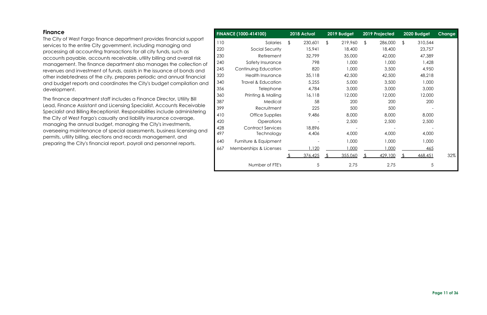<span id="page-10-0"></span>

| <b>Finance</b>                                                                                                                                     |            | <b>FINANCE (1000-414100)</b>                  | 2018 Actual                        | 2019 Budget             | 2019 Projected          | 2020 Budget       | Change |
|----------------------------------------------------------------------------------------------------------------------------------------------------|------------|-----------------------------------------------|------------------------------------|-------------------------|-------------------------|-------------------|--------|
| The City of West Fargo finance department provides financial support<br>services to the entire City government, including managing and             | 110<br>220 | Salaries<br>Social Security                   | 230,601<br>15,941                  | \$<br>219,960<br>18,400 | \$<br>286,000<br>18,400 | 310,544<br>23,757 |        |
| processing all accounting transactions for all city funds, such as<br>accounts payable, accounts receivable, utility billing and overall risk      | 230        | Retirement                                    | 32,799                             | 35,000                  | 42,000                  | 47,389            |        |
| management. The finance department also manages the collection of<br>revenues and investment of funds, assists in the issuance of bonds and        | 240<br>245 | Safety Insurance<br>Continuing Education      | 798<br>820                         | 1,000<br>1,000          | 1,000<br>3,500          | 1,428<br>4,950    |        |
| other indebtedness of the city, prepares periodic and annual financial<br>and budget reports and coordinates the City's budget compilation and     | 320<br>340 | <b>Health Insurance</b><br>Travel & Education | 35,118<br>5,255                    | 42,500<br>5,000         | 42,500<br>3,500         | 48,218<br>1,000   |        |
| development.                                                                                                                                       | 356<br>360 | Telephone<br>Printing & Mailing               | 4,784<br>16,118                    | 3,000<br>12,000         | 3,000<br>12,000         | 3,000<br>12,000   |        |
| The finance department staff includes a Finance Director, Utility Bill<br>Lead, Finance Assistant and Licensing Specialist, Accounts Receivable    | 387        | Medical                                       | 58                                 | 200                     | 200                     | 200               |        |
| Specialist and Billing Receptionist. Responsibilities include administering<br>the City of West Fargo's casualty and liability insurance coverage, | 399<br>410 | Recruitment<br>Office Supplies                | 225<br>9,486                       | 500<br>8,000            | 500<br>8,000            | 8,000             |        |
| managing the annual budget, managing the City's investments,                                                                                       | 420<br>428 | Operations<br><b>Contract Services</b>        | $\overline{\phantom{a}}$<br>18,896 | 2,500                   | 2,500                   | 2,500             |        |
| overseeing maintenance of special assessments, business licensing and<br>permits, utility billing, elections and records management, and           | 497        | Technology                                    | 4,406                              | 4,000                   | 4,000                   | 4,000             |        |
| preparing the City's financial report, payroll and personnel reports.                                                                              | 640        | Furniture & Equipment                         |                                    | 1,000                   | 1,000                   | 1,000             |        |

|     | <b>FINANCE (1000-414100)</b>  | 2018 Actual   |    | 2019 Budget |    |         | 2019 Projected |         | 2020 Budget | <b>Change</b> |
|-----|-------------------------------|---------------|----|-------------|----|---------|----------------|---------|-------------|---------------|
| 110 | Salaries                      | \$<br>230,601 | \$ | 219,960     | \$ | 286,000 | \$             | 310,544 |             |               |
| 220 | Social Security               | 15,941        |    | 18,400      |    | 18,400  |                | 23,757  |             |               |
| 230 | Retirement                    | 32,799        |    | 35,000      |    | 42,000  |                | 47,389  |             |               |
| 240 | Safety Insurance              | 798           |    | 1,000       |    | 1,000   |                | 1,428   |             |               |
| 245 | Continuing Education          | 820           |    | 1,000       |    | 3,500   |                | 4,950   |             |               |
| 320 | Health Insurance              | 35,118        |    | 42,500      |    | 42,500  |                | 48,218  |             |               |
| 340 | <b>Travel &amp; Education</b> | 5,255         |    | 5,000       |    | 3,500   |                | 1,000   |             |               |
| 356 | Telephone                     | 4,784         |    | 3,000       |    | 3,000   |                | 3,000   |             |               |
| 360 | Printing & Mailing            | 16,118        |    | 12,000      |    | 12,000  |                | 12,000  |             |               |
| 387 | Medical                       | 58            |    | 200         |    | 200     |                | 200     |             |               |
| 399 | Recruitment                   | 225           |    | 500         |    | 500     |                |         |             |               |
| 410 | Office Supplies               | 9,486         |    | 8,000       |    | 8,000   |                | 8,000   |             |               |
| 420 | Operations                    |               |    | 2,500       |    | 2,500   |                | 2,500   |             |               |
| 428 | <b>Contract Services</b>      | 18,896        |    |             |    |         |                |         |             |               |
| 497 | Technology                    | 4,406         |    | 4,000       |    | 4,000   |                | 4,000   |             |               |
| 640 | Furniture & Equipment         |               |    | 1,000       |    | 1,000   |                | 1,000   |             |               |
| 667 | Memberships & Licenses        | 1,120         |    | 1,000       |    | 1,000   |                | 465     |             |               |
|     |                               | 376,425       | ß. | 355,060     | \$ | 429,100 | £.             | 468,451 | 32%         |               |
|     | Number of FTE's               | 5             |    | 2.75        |    | 2.75    |                | 5       |             |               |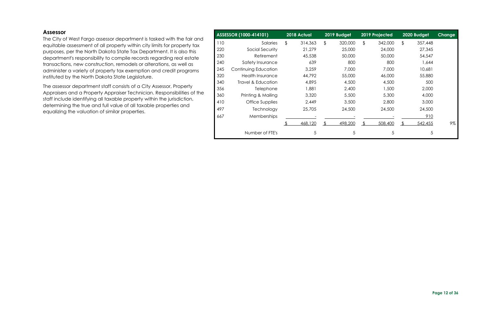#### <span id="page-11-0"></span>**Assessor**

The City of West Fargo assessor department is tasked with the fair and equitable assessment of all property within city limits for property tax purposes, per the North Dakota State Tax Department. It is also this department's responsibility to compile records regarding real estate transactions, new construction, remodels or alterations, as well as administer a variety of property tax exemption and credit programs instituted by the North Dakota State Legislature.

The assessor department staff consists of a City Assessor, Property Appraisers and a Property Appraiser Technician. Responsibilities of the staff include identifying all taxable property within the jurisdiction, determining the true and full value of all taxable properties and equalizing the valuation of similar properties.

|     | ASSESSOR (1000-414101)  | 2018 Actual   | 2019 Budget   | 2019 Projected | 2020 Budget   | Change |
|-----|-------------------------|---------------|---------------|----------------|---------------|--------|
| 110 | Salaries                | \$<br>314,363 | \$<br>320,000 | \$<br>342,000  | \$<br>357,448 |        |
| 220 | Social Security         | 21,279        | 25,000        | 24,000         | 27,345        |        |
| 230 | Retirement              | 45,538        | 50,000        | 50,000         | 54,547        |        |
| 240 | Safety Insurance        | 639           | 800           | 800            | 1,644         |        |
| 245 | Continuing Education    | 3,259         | 7,000         | 7,000          | 10,681        |        |
| 320 | <b>Health Insurance</b> | 44,792        | 55,000        | 46,000         | 55,880        |        |
| 340 | Travel & Education      | 4,895         | 4,500         | 4,500          | 500           |        |
| 356 | <b>Telephone</b>        | 1,881         | 2,400         | 1,500          | 2,000         |        |
| 360 | Printing & Mailing      | 3,320         | 5,500         | 5,300          | 4,000         |        |
| 410 | Office Supplies         | 2,449         | 3,500         | 2,800          | 3,000         |        |
| 497 | Technology              | 25,705        | 24,500        | 24,500         | 24,500        |        |
| 667 | Memberships             |               |               |                | 910           |        |
|     |                         | 468,120       | 498,200       | 508,400        | 542,455       | 9%     |
|     | Number of FTE's         | 5             | 5             | 5              | 5             |        |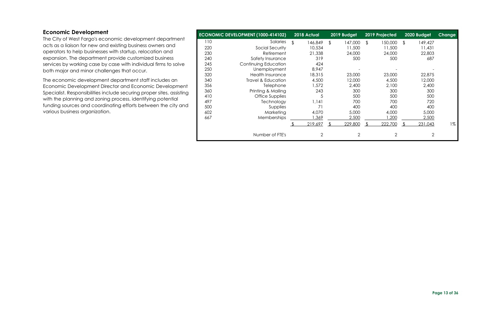#### <span id="page-12-0"></span>**Economic Development**

The City of West Fargo's economic development department acts as a liaison for new and existing business owners and operators to help businesses with startup, relocation and expansion. The department provide customized business services by working case by case with individual firms to solve both major and minor challenges that occur.

The economic development department staff includes an Economic Development Director and Economic Development Specialist. Responsibilities include securing proper sites, assisting with the planning and zoning process, identifying potential funding sources and coordinating efforts between the city and various business organization.

|     | ECONOMIC DEVELOPMENT (1000-414102) | 2018 Actual    | 2019 Budget    | 2019 Projected | 2020 Budget    | Change |
|-----|------------------------------------|----------------|----------------|----------------|----------------|--------|
| 110 | Salaries                           | \$<br>146,849  | \$<br>147,000  | \$<br>150,000  | 149,427<br>\$  |        |
| 220 | Social Security                    | 10,534         | 11,500         | 11,500         | 11,431         |        |
| 230 | Retirement                         | 21,338         | 24,000         | 24,000         | 22,803         |        |
| 240 | Safety Insurance                   | 319            | 500            | 500            | 687            |        |
| 245 | Continuing Education               | 424            |                |                |                |        |
| 250 | Unemployment                       | 8,947          |                |                |                |        |
| 320 | <b>Health Insurance</b>            | 18,315         | 23,000         | 23,000         | 22,875         |        |
| 340 | Travel & Education                 | 4,500          | 12,000         | 4,500          | 12,000         |        |
| 356 | Telephone                          | 1,572          | 2,400          | 2,100          | 2,400          |        |
| 360 | Printing & Mailing                 | 243            | 300            | 300            | 300            |        |
| 410 | Office Supplies                    | 5              | 500            | 500            | 500            |        |
| 497 | Technology                         | 1,141          | 700            | 700            | 720            |        |
| 500 | Supplies                           | 71             | 400            | 400            | 400            |        |
| 602 | Marketing                          | 4,070          | 5,000          | 4,000          | 5,000          |        |
| 667 | Memberships                        | 1,369          | 2,500          | ,200           | 2,500          |        |
|     |                                    | 219,697        | 229,800        | 222,700        | 231,043        | 1%     |
|     | Number of FTE's                    | $\overline{2}$ | $\overline{2}$ | $\overline{2}$ | $\overline{2}$ |        |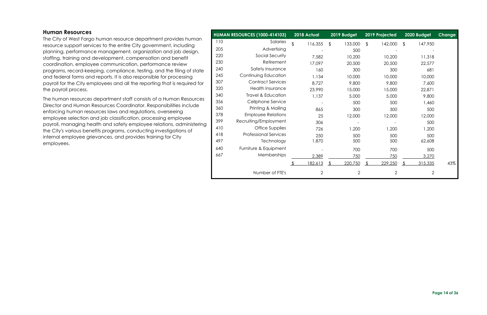#### <span id="page-13-0"></span>**Human Resources**

The City of West Fargo human resource department provides human resource support services to the entire City government, including planning, performance management, organization and job design, staffing, training and development, compensation and benefit coordination, employee communication, performance review programs, record-keeping, compliance, testing, and the filing of state and federal forms and reports. It is also responsible for processing payroll for the City employees and all the reporting that is required for the payroll process.

The human resources department staff consists of a Human Resources Director and Human Resources Coordinator. Responsibilities include enforcing human resources laws and regulations, overseeing employee selection and job classification, processing employee payroll, managing health and safety employee relations, administering the City's various benefits programs, conducting investigations of internal employee grievances, and provides training for City employees.

|     | <b>HUMAN RESOURCES (1000-414103)</b> | 2018 Actual    | 2019 Budget    | 2019 Projected | 2020 Budget    | <b>Change</b> |
|-----|--------------------------------------|----------------|----------------|----------------|----------------|---------------|
| 110 | Salaries                             | \$<br>116,355  | \$<br>133,000  | \$<br>142,000  | \$<br>147,950  |               |
| 205 | Advertising                          |                | 500            |                |                |               |
| 220 | Social Security                      | 7,582          | 10,200         | 10,200         | 11,318         |               |
| 230 | Retirement                           | 17,097         | 20,500         | 20,500         | 22,577         |               |
| 240 | Safety Insurance                     | 160            | 300            | 300            | 681            |               |
| 245 | Continuing Education                 | 1,134          | 10,000         | 10,000         | 10,000         |               |
| 307 | <b>Contract Services</b>             | 8,727          | 9,800          | 9,800          | 7,600          |               |
| 320 | Health Insurance                     | 23,990         | 15,000         | 15,000         | 22,871         |               |
| 340 | <b>Travel &amp; Education</b>        | 1,137          | 5,000          | 5,000          | 9,800          |               |
| 356 | Cellphone Service                    |                | 500            | 500            | 1,460          |               |
| 360 | Printing & Mailing                   | 865            | 300            | 300            | 500            |               |
| 378 | <b>Employee Relations</b>            | 25             | 12,000         | 12,000         | 12,000         |               |
| 399 | Recruiting/Employment                | 306            |                |                | 500            |               |
| 410 | Office Supplies                      | 726            | 1,200          | 1,200          | 1,200          |               |
| 418 | <b>Professional Services</b>         | 250            | 500            | 500            | 500            |               |
| 497 | Technology                           | 1,870          | 500            | 500            | 62,608         |               |
| 640 | Furniture & Equipment                |                | 700            | 700            | 500            |               |
| 667 | Memberships                          | 2,389          | 750            | 750            | 3,270          |               |
|     |                                      | 182,613        | 220,750        | 229,250        | 315,335        | 43%           |
|     | Number of FTE's                      | $\overline{2}$ | $\overline{2}$ | $\overline{2}$ | $\overline{2}$ |               |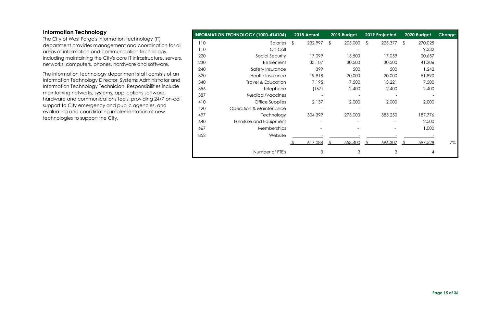#### <span id="page-14-0"></span>**Information Technology**

The City of West Fargo's information technology (IT) department provides management and coordination for all areas of information and communication technology, including maintaining the City's core IT infrastructure, servers, networks, computers, phones, hardware and software.

The information technology department staff consists of an Information Technology Director, Systems Administrator and Information Technology Technician. Responsibilities include maintaining networks, systems, applications software, hardware and communications tools, providing 24/7 on-call support to City emergency and public agencies, and evaluating and coordinating implementation of new technologies to support the City.

|     | <b>INFORMATION TECHNOLOGY (1000-414104)</b> | 2018 Actual   |                | 2019 Budget |                | 2019 Projected | 2020 Budget               | Change |
|-----|---------------------------------------------|---------------|----------------|-------------|----------------|----------------|---------------------------|--------|
| 110 | Salaries                                    | 232,997<br>\$ | $\mathfrak{L}$ | 205,000     | $\mathfrak{L}$ | 225,377        | $\mathfrak{L}$<br>270,025 |        |
| 110 | On-Call                                     |               |                |             |                |                | 9,332                     |        |
| 220 | Social Security                             | 17,099        |                | 15,500      |                | 17,059         | 20,657                    |        |
| 230 | Retirement                                  | 33,107        |                | 30,500      |                | 30,500         | 41,206                    |        |
| 240 | Safety Insurance                            | 399           |                | 500         |                | 500            | 1,242                     |        |
| 320 | <b>Health Insurance</b>                     | 19,918        |                | 20,000      |                | 20,000         | 51,890                    |        |
| 340 | Travel & Education                          | 7,195         |                | 7,500       |                | 13,221         | 7,500                     |        |
| 356 | Telephone                                   | (167)         |                | 2,400       |                | 2,400          | 2,400                     |        |
| 387 | Medical/Vaccines                            |               |                |             |                |                |                           |        |
| 410 | Office Supplies                             | 2,137         |                | 2,000       |                | 2,000          | 2,000                     |        |
| 420 | <b>Operation &amp; Maintenance</b>          |               |                |             |                |                |                           |        |
| 497 | Technology                                  | 304,399       |                | 275,000     |                | 385,250        | 187,776                   |        |
| 640 | Furniture and Equipment                     |               |                |             |                |                | 2,500                     |        |
| 667 | <b>Memberships</b>                          |               |                |             |                |                | 1,000                     |        |
| 852 | Website                                     |               |                |             |                |                |                           |        |
|     |                                             | 617,084       |                | 558,400     |                | 696,307        | 597,528<br>-S             | 7%     |
|     | Number of FTE's                             | 3             |                | 3           |                | 3              |                           | 4      |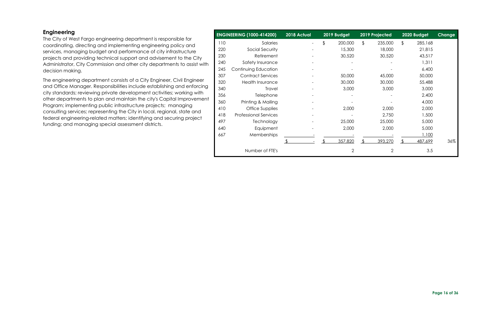#### <span id="page-15-0"></span>**Engineering**

The City of West Fargo engineering department is responsible for coordinating, directing and implementing engineering policy and services, managing budget and performance of city infrastructure projects and providing technical support and advisement to the City Administrator, City Commission and other city departments to assist with decision making.

The engineering department consists of a City Engineer, Civil Engineer and Office Manager. Responsibilities include establishing and enforcing city standards; reviewing private development activities; working with other departments to plan and maintain the city's Capital Improvement Program; implementing public infrastructure projects; managing consulting services; representing the City in local, regional, state and federal engineering-related matters; identifying and securing project funding; and managing special assessment districts.

| <b>ENGINEERING (1000-414200)</b> |                              | 2018 Actual |               | 2019 Budget    | 2019 Projected |               | 2020 Budget | <b>Change</b> |
|----------------------------------|------------------------------|-------------|---------------|----------------|----------------|---------------|-------------|---------------|
| 110                              | Salaries                     |             | $\frac{1}{2}$ | 200,000        | \$<br>235,000  | $\frac{1}{2}$ | 285,168     |               |
| 220                              | Social Security              |             |               | 15,300         | 18,000         |               | 21,815      |               |
| 230                              | Retirement                   |             |               | 30,520         | 30,520         |               | 43,517      |               |
| 240                              | Safety Insurance             |             |               |                |                |               | 1,311       |               |
| 245                              | Continuing Education         |             |               |                |                |               | 6,400       |               |
| 307                              | <b>Contract Services</b>     |             |               | 50,000         | 45,000         |               | 50,000      |               |
| 320                              | Health Insurance             |             |               | 30,000         | 30,000         |               | 55,488      |               |
| 340                              | <b>Travel</b>                |             |               | 3,000          | 3,000          |               | 3,000       |               |
| 356                              | Telephone                    |             |               |                |                |               | 2,400       |               |
| 360                              | Printing & Mailing           |             |               |                |                |               | 4,000       |               |
| 410                              | Office Supplies              |             |               | 2,000          | 2,000          |               | 2,000       |               |
| 418                              | <b>Professional Services</b> |             |               |                | 2,750          |               | 1,500       |               |
| 497                              | Technology                   |             |               | 25,000         | 25,000         |               | 5,000       |               |
| 640                              | Equipment                    |             |               | 2,000          | 2,000          |               | 5,000       |               |
| 667                              | Memberships                  |             |               |                |                |               | 1,100       |               |
|                                  |                              |             |               | 357,820        | 393,270        |               | 487,699     | 36%           |
|                                  | Number of FTE's              |             |               | $\overline{2}$ | $\overline{2}$ |               | 3.5         |               |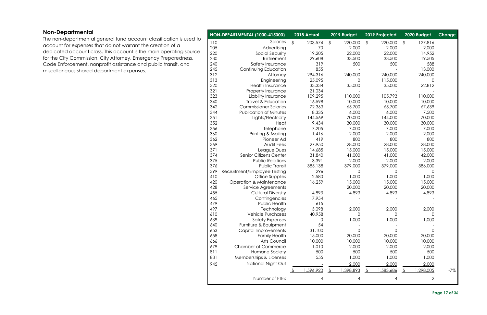#### **Page 17 of 36**

#### <span id="page-16-0"></span>**Non-Departmental**

The non-departmental general fund account classification is used to account for expenses that do not warrant the creation of a dedicated account class. This account is the main operating source for the City Commission, City Attorney, Emergency Preparedness, Code Enforcement, nonprofit assistance and public transit, and miscellaneous shared department expenses.

|            | NON-DEPARTMENTAL (1000-415000)       |                         | 2018 Actual      |                         | 2019 Budget |               | 2019 Projected |               | 2020 Budget           | Change |
|------------|--------------------------------------|-------------------------|------------------|-------------------------|-------------|---------------|----------------|---------------|-----------------------|--------|
| 110        | Salaries                             | $\sqrt[6]{\frac{1}{2}}$ | 203,574          | $\sqrt[6]{\frac{1}{2}}$ | 220,000     | $\frac{1}{2}$ | 220,000        | $\frac{1}{2}$ | 127,816               |        |
| 205        | Advertising                          |                         | 70               |                         | 2,000       |               | 2,000          |               | 2,000                 |        |
| 220        | Social Security                      |                         | 19,205           |                         | 22,000      |               | 22,000         |               | 14,952                |        |
| 230        | Retirement                           |                         | 29,608           |                         | 33,500      |               | 33,500         |               | 19,505                |        |
| 240        | Safety Insurance                     |                         | 319              |                         | 500         |               | 500            |               | 588                   |        |
| 245        | Continuing Education                 |                         | 855              |                         |             |               |                |               | 13,000                |        |
| 312        | Attorney                             |                         | 294,316          |                         | 240,000     |               | 240,000        |               | 240,000               |        |
| 313        | Engineering                          |                         | 25,095           |                         | 0           |               | 115,000        |               | 0                     |        |
| 320        | <b>Health Insurance</b>              |                         | 33,334           |                         | 35,000      |               | 35,000         |               | 22,812                |        |
| 321        | Property Insurance                   |                         | 21,034           |                         |             |               |                |               |                       |        |
| 323        | Liability Insurance                  |                         | 109,295          |                         | 110,000     |               | 105,793        |               | 110,000               |        |
| 340        | <b>Travel &amp; Education</b>        |                         | 16,598           |                         | 10,000      |               | 10,000         |               | 10,000                |        |
| 342        | <b>Commissioner Salaries</b>         |                         | 72,363           |                         | 65,700      |               | 65,700         |               | 67,639                |        |
| 344        | <b>Publication of Minutes</b>        |                         | 8,335            |                         | 6,000       |               | 6,000          |               | 7,500                 |        |
| 351        | Lights/Electricity                   |                         | 144,569          |                         | 70,000      |               | 144,000        |               | 70,000                |        |
| 352        | Heat                                 |                         | 9,434            |                         | 30,000      |               | 30,000         |               | 30,000                |        |
| 356        | Telephone                            |                         | 7,205            |                         | 7,000       |               | 7,000          |               | 7,000                 |        |
| 360        | Printing & Mailing                   |                         | 1,416            |                         | 2,000       |               | 2,000          |               | 2,000                 |        |
| 362        | Pioneer Ad                           |                         | 419              |                         | 800         |               | 800            |               | 800                   |        |
| 369        | Audit Fees                           |                         | 27,950           |                         | 28,000      |               | 28,000         |               | 28,000                |        |
| 371        | League Dues                          |                         | 14,685           |                         | 15,000      |               | 15,000         |               | 15,000                |        |
| 374        | Senior Citizens Center               |                         | 31,840           |                         | 41,000      |               | 41,000         |               | 42,000                |        |
| 375        | <b>Public Relations</b>              |                         | 3,391            |                         | 2,000       |               | 2,000          |               | 2,000                 |        |
| 376        | Public Transit                       |                         | 385,138          |                         | 379,000     |               | 379,000        |               | 386,000               |        |
| 399        | Recruitment/Employee Testing         |                         | 296              |                         | 0           |               | 0              |               | $\mathbf 0$           |        |
| 410        | Office Supplies                      |                         | 2,580            |                         | 1,000       |               | 1,000          |               | 1,000                 |        |
| 420        | <b>Operation &amp; Maintenance</b>   |                         | 16,259           |                         | 15,000      |               | 15,000         |               | 15,000                |        |
| 428        | Service Agreements                   |                         |                  |                         | 20,000      |               | 20,000         |               | 20,000                |        |
| 455        | <b>Cultural Diversity</b>            |                         | 4,893            |                         | 4,893       |               | 4,893          |               | 4,893                 |        |
| 465        | Contingencies                        |                         | 7,954            |                         |             |               |                |               |                       |        |
| 479        | Public Health                        |                         | 615              |                         |             |               |                |               |                       |        |
| 497        | Technology                           |                         | 5,098            |                         | 2,000       |               | 2,000          |               | 2,000                 |        |
| 610        | <b>Vehicle Purchases</b>             |                         | 40,958           |                         | 0           |               | 0              |               | 0                     |        |
| 639        | <b>Safety Expenses</b>               |                         | 0                |                         | 1,000       |               | 1,000          |               | 1,000                 |        |
| 640        | Furniture & Equipment                |                         | 54               |                         |             |               |                |               |                       |        |
| 653        | Capital Improvements                 |                         | 31,100           |                         | 0<br>20,000 |               | 0<br>20,000    |               | $\mathbf 0$<br>20,000 |        |
| 658<br>666 | <b>Family Health</b><br>Arts Council |                         | 15,000<br>10,000 |                         | 10,000      |               | 10,000         |               | 10,000                |        |
| 679        | <b>Chamber of Commerce</b>           |                         | 1,010            |                         | 2,000       |               | 2,000          |               | 2,000                 |        |
| 811        | Humane Society                       |                         | 500              |                         | 500         |               | 500            |               | 500                   |        |
| 831        | Memberships & Licenses               |                         | 555              |                         | 1,000       |               | 1,000          |               | 1,000                 |        |
|            |                                      |                         |                  |                         |             |               |                |               |                       |        |
| 945        | National Night Out                   |                         |                  |                         | 2,000       |               | 2,000          |               | 2,000                 |        |
|            |                                      |                         | ,596,920         |                         | ,398,893    |               | ,583,686       |               | ,298,005              | $-7%$  |
|            | Number of FTE's                      |                         | 4                |                         | 4           |               | 4              |               | $\overline{2}$        |        |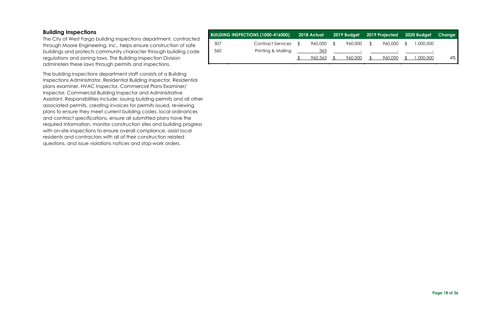#### <span id="page-17-0"></span>**Building Inspections**

The City of West Fargo building inspections department, contracted through Moore Engineering, Inc., helps ensure construction of safe buildings and protects community character through building code regulations and zoning laws. The Building Inspection Division administers these laws through permits and inspections.

The building inspections department staff consists of a Building Inspections Administrator, Residential Building Inspector, Residential plans examiner, HVAC Inspector, Commercial Plans Examiner/ Inspector, Commercial Building Inspector and Administrative Assistant. Responsibilities include: issuing building permits and all other associated permits, creating invoices for permits issued, reviewing plans to ensure they meet current building codes, local ordinances and contract specifications, ensure all submitted plans have the required information, monitor construction sites and building progress with on-site inspections to ensure overall compliance, assist local residents and contractors with all of their construction related questions, and issue violations notices and stop-work orders.

|     | <b>BUILDING INSPECTIONS (1000-416000)</b> | 2018 Actual |                                     |     | 2019 Budget 2019 Projected 2020 Budget |                          | Change |
|-----|-------------------------------------------|-------------|-------------------------------------|-----|----------------------------------------|--------------------------|--------|
| 307 | <b>Contract Services</b>                  | 960,000     | \$<br>960,000                       | - S | 960,000                                | 1,000,000                |        |
| 360 | Printing & Mailing                        | 363         | and the contract of the contract of |     |                                        | $\overline{\phantom{0}}$ |        |
|     |                                           | 960.363     | 960.000                             |     | 960,000                                | 000,000,1                | 4%     |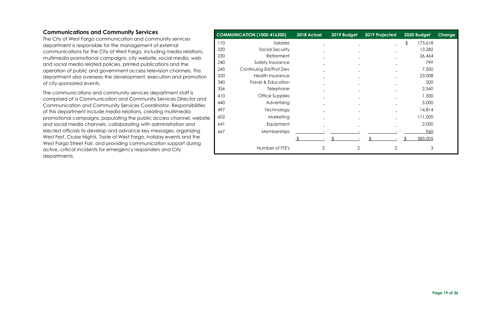#### <span id="page-18-0"></span>**Communications and Community Services**

The City of West Fargo communication and community services department is responsible for the management of external communications for the City of West Fargo, including media relations, multimedia promotional campaigns, city website, social media, web and social media related policies, printed publications and the operation of public and government access television channels. This department also oversees the development, execution and promotion of city-sponsored events.

The communications and community services department staff is comprised of a Communication and Community Services Director and Communication and Community Services Coordinator. Responsibilities of this department include media relations, creating multimedia promotional campaigns, populating the public access channel, website and social media channels, collaborating with administration and elected officials to develop and advance key messages, organizing West Fest, Cruise Nights, Taste of West Fargo, holiday events and the West Fargo Street Fair, and providing communication support during active, critical incidents for emergency responders and City departments.

| <b>COMMUNICATION (1000-416200)</b> |                               | 2018 Actual              | 2019 Budget    | 2019 Projected | 2020 Budget              | <b>Change</b> |
|------------------------------------|-------------------------------|--------------------------|----------------|----------------|--------------------------|---------------|
| 110                                | Salaries                      | $\overline{\phantom{0}}$ |                |                | $\frac{1}{2}$<br>173,618 |               |
| 220                                | Social Security               |                          |                |                | 13,282                   |               |
| 230                                | Retirement                    |                          |                |                | 26,464                   |               |
| 240                                | Safety Insurance              |                          |                |                | 799                      |               |
| 245                                | Continuing Ed/Prof Dev        |                          |                |                | 7,500                    |               |
| 320                                | <b>Health Insurance</b>       |                          |                |                | 23,008                   |               |
| 340                                | <b>Travel &amp; Education</b> |                          |                |                | 500                      |               |
| 356                                | Telephone                     |                          |                |                | 2,560                    |               |
| 410                                | Office Supplies               |                          |                |                | 1,500                    |               |
| 440                                | Advertising                   |                          |                |                | 5,000                    |               |
| 497                                | Technology                    |                          |                |                | 14,814                   |               |
| 602                                | Marketing                     |                          |                |                | 111,000                  |               |
| 641                                | Equipment                     |                          |                |                | 2,000                    |               |
| 667                                | Memberships                   |                          |                |                | 960                      |               |
|                                    |                               |                          |                |                | 383,005                  |               |
|                                    | Number of FTE's               | $\overline{2}$           | $\overline{2}$ | $\overline{2}$ | 3                        |               |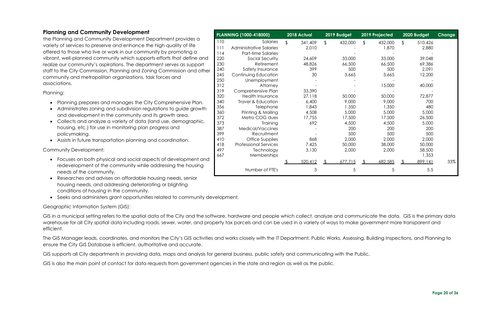#### <span id="page-19-0"></span>**Planning and Community Development**

The Planning and Community Development Department provides a variety of services to preserve and enhance the high quality of life offered to those who live or work in our community by promoting a vibrant, well-planned community which supports efforts that define and realize our community's aspirations. The department serves as support staff to the City Commission, Planning and Zoning Commission and other community and metropolitan organizations, task forces and associations.

Planning:

- Planning prepares and manages the City Comprehensive Plan.
- Administrates zoning and subdivision regulations to guide growth and development in the community and its growth area.
- Collects and analyze a variety of data (land use, demographic, housing, etc.) for use in monitoring plan progress and policymaking.
- Assists in future transportation planning and coordination.

GIS in a municipal setting refers to the spatial data of the City and the software, hardware and people which collect, analyze and communicate the data. GIS is the primary data warehouse for all City spatial data including roads, sewer, water, and property tax parcels and can be used in a variety of ways to make government more transparent and efficient.

Community Development:

- Focuses on both physical and social aspects of development and redevelopment of the community while addressing the housing needs of the community.
- Researches and advises on affordable housing needs, senior housing needs, and addressing deteriorating or blighting conditions of housing in the community.
- Seeks and administers grant opportunities related to community development.

Geographic Information System (GIS):

The GIS Manager leads, coordinates, and monitors the City's GIS activities and works closely with the IT Department, Public Works, Assessing, Building Inspections, and Planning to ensure the City GIS Database is efficient, authoritative and accurate.

GIS supports all City departments in providing data, maps and analysis for general business, public safety and communicating with the Public.

GIS is also the main point of contact for data requests from government agencies in the state and region as well as the public.

|     | PLANNING (1000-418000)         | 2018 Actual   |    | 2019 Budget | 2019 Projected |                         | 2020 Budget | Change |
|-----|--------------------------------|---------------|----|-------------|----------------|-------------------------|-------------|--------|
| 110 | Salaries                       | \$<br>341,409 | \$ | 432,000     | \$<br>432,000  | $\sqrt[6]{\frac{1}{2}}$ | 510,426     |        |
| 111 | <b>Administrative Salaries</b> | 2,010         |    |             | 1,870          |                         | 2,880       |        |
| 114 | Part-time Salaries             |               |    |             |                |                         |             |        |
| 220 | Social Security                | 24,609        |    | 33,000      | 33,000         |                         | 39,048      |        |
| 230 | Retirement                     | 48,826        |    | 66,500      | 66,500         |                         | 69,386      |        |
| 240 | Safety Insurance               | 399           |    | 500         | 500            |                         | 2,091       |        |
| 245 | Continuing Education           | 30            |    | 3,665       | 3,665          |                         | 12,200      |        |
| 250 | Unemployment                   |               |    |             |                |                         |             |        |
| 312 | Attorney                       |               |    |             | 15,000         |                         | 40,000      |        |
| 319 | Comprehensive Plan             | 33,390        |    |             |                |                         |             |        |
| 320 | <b>Health Insurance</b>        | 27,118        |    | 50,000      | 50,000         |                         | 72,877      |        |
| 340 | Travel & Education             | 6,400         |    | 9,000       | 9,000          |                         | 700         |        |
| 356 | Telephone                      | 1,843         |    | 1,350       | 1,350          |                         | 480         |        |
| 360 | Printing & Mailing             | 4,508         |    | 5,000       | 5,000          |                         | 5,000       |        |
| 372 | Metro COG dues                 | 17,755        |    | 17,500      | 17,500         |                         | 26,500      |        |
| 373 | Training                       | 692           |    | 4,500       | 4,500          |                         | 5,000       |        |
| 387 | Medical/Vaccines               |               |    | 200         | 200            |                         | 200         |        |
| 399 | Recruitment                    |               |    | 500         | 500            |                         | 500         |        |
| 410 | <b>Office Supplies</b>         | 868           |    | 2,000       | 2,000          |                         | 2,000       |        |
| 418 | <b>Professional Services</b>   | 7,425         |    | 50,000      | 38,000         |                         | 50,000      |        |
| 497 | Technology                     | 3,130         |    | 2,000       | 2,000          |                         | 58,500      |        |
| 667 | Memberships                    |               |    |             |                |                         | 1,353       |        |
|     |                                | 520,412       | ፍ  | 677,715     | 682,585        |                         | 899,141     | 33%    |
|     | Number of FTE's                | 3             |    | 5           | 5              |                         | 5.5         |        |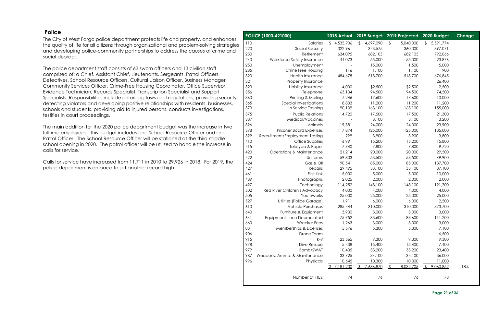**Page 21 of 36**

#### <span id="page-20-0"></span>**Police**

The City of West Fargo police department protects life and property, and enhances the quality of life for all citizens through organizational and problem-solving strategies and developing police-community partnerships to address the causes of crime and social disorder.

The police department staff consists of 63 sworn officers and 13 civilian staff comprised of: a Chief, Assistant Chief, Lieutenants, Sergeants, Patrol Officers, Detectives, School Resource Officers, Cultural Liaison Officer, Business Manager, Community Services Officer, Crime-Free Housing Coordinator, Office Supervisor, Evidence Technician, Records Specialist, Transcription Specialist and Support Specialists. Responsibilities include enforcing laws and regulations, providing security, detecting violators and developing positive relationships with residents, businesses, schools and students, providing aid to injured persons, conducts investigations, testifies in court proceedings.

The main addition for the 2020 police department budget was the increase in two fulltime employees. This budget includes one School Resource Officer and one Patrol Officer. The School Resource Officer will be stationed at the third middle school opening in 2020. The patrol officer will be utilized to handle the increase in calls for service.

Calls for service have increased from 11,711 in 2010 to 29,926 in 2018. For 2019, the police department is on pace to set another record high.

|     | POLICE (1000-421000)                | 2018 Actual                |                 | 2019 Budget 2019 Projected  | 2020 Budget                | Change |
|-----|-------------------------------------|----------------------------|-----------------|-----------------------------|----------------------------|--------|
| 110 | Salaries                            | 4,535,906<br>$\frac{1}{2}$ | 4,697,090<br>\$ | \$<br>5,040,000             | 5,591,774<br>$\frac{1}{2}$ |        |
| 220 | Social Security                     | 322,961                    | 343,575         | 360,000                     | 397,071                    |        |
| 230 | Retirement                          | 634,095                    | 682,105         | 682,105                     | 792,066                    |        |
| 240 | Workforce Safety Insurance          | 44,073                     | 55,000          | 55,000                      | 23,876                     |        |
| 250 | Unemployment                        |                            | 15,000          | 1,500                       | 5,000                      |        |
| 285 | Crime Free Housing                  | 116                        | 1,100           | 1,100                       | 900                        |        |
| 320 | <b>Health Insurance</b>             | 484,678                    | 518,700         | 518,700                     | 676,845                    |        |
| 321 | Property Insurance                  |                            |                 |                             | 26,400                     |        |
| 323 | Liability Insurance                 | 4,000                      | \$2,500         | \$2,500                     | 2,500                      |        |
| 356 | Telephone                           | 63,134                     | 94,500          | 94,500                      | 74,500                     |        |
| 360 | Printing & Mailing                  | 7,246                      | 17,600          | 17,600                      | 10,000                     |        |
| 365 | Special Investigations              | 8,833                      | 11,200          | 11,200                      | 11,200                     |        |
| 373 | In Service Training                 | 90,139                     | 163,100         | 163,100                     | 155,000                    |        |
| 375 | <b>Public Relations</b>             | 14,720                     | 17,500          | 17,500                      | 21,300                     |        |
| 387 | Medical/Vaccines                    |                            | 3,100           | 3,100                       | 3,200                      |        |
| 396 | Animals                             | 19,381                     | 24,000          | 24,000                      | 23,900                     |        |
| 398 | <b>Prisoner Board Expenses</b>      | 117,874                    | 125,000         | 125,000                     | 135,000                    |        |
| 399 | Recruitment/Employment Testing      | 299                        | 3,900           | 3,900                       | 3,800                      |        |
| 410 | Office Supplies                     | 16,991                     | 15,200          | 15,200                      | 15,800                     |        |
| 415 | Teletype & Paper                    | 7,740                      | 7,800           | 7,800                       | 9,720                      |        |
| 420 | <b>Operations &amp; Maintenance</b> | 21,214                     | 20,000          | 20,000                      | 29,500                     |        |
| 422 | Uniforms                            | 59,803                     | 53,500          | 53,500                      | 49,900                     |        |
| 424 | Gas & Oil                           | 90,541                     | 85,000          | 85,000                      | 137,700                    |        |
| 427 | Repairs                             | 29,495                     | 33,100          | 33,100                      | 37,100                     |        |
| 461 | First Link                          | 5,000                      | 5,000           | 5,000                       | 10,000                     |        |
| 489 | Photographs                         | 2,025                      | 2,000           | 2,000                       | 2,000                      |        |
| 497 | Technology                          | 114,252                    | 148,100         | 148,100                     | 191,700                    |        |
| 502 | Red River Children's Advocacy       | 4,000                      | 4,000           | 4,000                       | 4,000                      |        |
| 505 | Youthworks                          | 25,000                     | 25,000          | 25,000                      | 25,000                     |        |
| 527 | Utilities (Police Garage)           | 1,911                      | 6,000           | 6,000                       | 2,500                      |        |
| 610 | <b>Vehicle Purchases</b>            | 285,444                    | 310,000         | 310,000                     | 373,700                    |        |
| 640 | Furniture & Equipment               | 3,930                      | 3,000           | 3,000                       | 3,000                      |        |
| 641 | Equipment - non Depreciated         | 75,752                     | 83,600          | 83,600                      | 111,200                    |        |
| 660 | <b>Wrecker Fees</b>                 | 1,263                      | 3,000           | 3,000                       | 3,000                      |        |
| 831 | Memberships & Licenses              | 5,576                      | 5,300           | 5,300                       | 7,100                      |        |
| 906 | Drone Team                          |                            |                 |                             | 6,500                      |        |
| 915 | $K-9$                               | 23,565                     | 9,300           | 9,300                       | 9,300                      |        |
| 978 | Dive Rescue                         | 5,438                      | 15,400          | 15,400                      | 7,400                      |        |
| 979 | Bomb/SWAT                           | 10,435                     | 33,200          | 33,200                      | 23,400                     |        |
| 987 | Weapons, Ammo, & Maintenance        | 33,725                     | 34,100          | 34,100                      | 36,000                     |        |
| 996 | Physicals                           | 10,645                     | 10,300          | 10,300                      | 11,000                     |        |
|     |                                     | \$7,181,200                | 7,686,870<br>\$ | 8,032,705<br>$\mathfrak{L}$ | 9,060,852                  | 18%    |
|     | Number of FTE's                     | 74                         | 76              | 76                          | 78                         |        |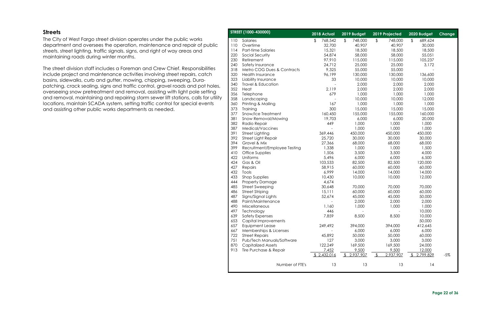#### <span id="page-21-0"></span>**Streets**

The City of West Fargo street division operates under the public works department and oversees the operation, maintenance and repair of public streets, street lighting, traffic signals, signs, and right of way areas and maintaining roads during winter months.

The street division staff includes a Foreman and Crew Chief. Responsibilities include project and maintenance activities involving street repairs, catch basins, sidewalks, curb and gutter, mowing, chipping, sweeping, Durapatching, crack sealing, signs and traffic control, gravel roads and pot holes, overseeing snow pretreatment and removal, assisting with light pole setting and removal, maintaining and repairing storm sewer lift stations, calls for utility locations, maintain SCADA system, setting traffic control for special events and assisting other public works departments as needed.

|     | STREET (1000-430000)         |    | 2018 Actual | 2019 Budget   |               | 2019 Projected | 2020 Budget   | Change |
|-----|------------------------------|----|-------------|---------------|---------------|----------------|---------------|--------|
| 110 | Salaries                     | \$ | 768,542     | \$<br>748,000 | $\frac{1}{2}$ | 748,000        | \$<br>689,624 |        |
| 110 | Overtime                     |    | 32,700      | 40,907        |               | 40,907         | 30,000        |        |
| 114 | Part-time Salaries           |    | 15,321      | 18,500        |               | 18,500         | 18,500        |        |
| 220 | Social Security              |    | 54,874      | 58,000        |               | 58,000         | 55,051        |        |
| 230 | Retirement                   |    | 97,910      | 115,000       |               | 115,000        | 105,237       |        |
| 240 | Safety Insurance             |    | 24,712      | 25,000        |               | 25,000         | 3,172         |        |
| 318 | Metro COG Dues & Contracts   |    | 9,325       | 55,000        |               | 55,000         |               |        |
| 320 | <b>Health Insurance</b>      |    | 96,199      | 130,000       |               | 130,000        | 136,600       |        |
| 323 | Liability Insurance          |    | 33          | 10,000        |               | 10,000         | 10,000        |        |
| 340 | Travel & Education           |    |             | 2,000         |               | 2,000          | 2,000         |        |
| 352 | Heat                         |    | 2,119       | 2,000         |               | 2,000          | 2,000         |        |
| 356 | Telephone                    |    | 679         | 1,000         |               | 1,000          | 1,000         |        |
| 358 | Landscaping                  |    |             | 10,000        |               | 10,000         | 12,000        |        |
| 360 | Printing & Mailing           |    | 167         | 1,000         |               | 1,000          | 1,000         |        |
| 373 | Training                     |    | 300         | 15,000        |               | 15,000         | 15,000        |        |
| 377 | Snow/Ice Treatment           |    | 160,450     | 155,000       |               | 155,000        | 160,000       |        |
| 381 | Snow Removal/Mowing          |    | 19,703      | 6,000         |               | 6,000          | 20,000        |        |
| 382 | Radio Repair                 |    | 449         | 1,000         |               | 1,000          | 1,000         |        |
| 387 |                              |    |             | 1,000         |               | 1,000          | 1,000         |        |
|     | Medical/Vaccines             |    |             |               |               |                |               |        |
| 391 | <b>Street Lighting</b>       |    | 369,446     | 450,000       |               | 450,000        | 450,000       |        |
| 392 | <b>Street Light Repair</b>   |    | 25,720      | 30,000        |               | 30,000         | 30,000        |        |
| 394 | Gravel & Mix                 |    | 27,366      | 68,000        |               | 68,000         | 68,000        |        |
| 399 | Recruitment/Employee Testing |    | 1,338       | 1,000         |               | 1,000          | 1,500         |        |
| 410 | Office Supplies              |    | 1,506       | 3,500         |               | 3,500          | 4,000         |        |
| 422 | Uniforms                     |    | 5,496       | 6,000         |               | 6,000          | 6,500         |        |
| 424 | Gas & Oil                    |    | 103,533     | 82,500        |               | 82,500         | 120,000       |        |
| 427 | Repairs                      |    | 58,915      | 60,000        |               | 60,000         | 60,000        |        |
| 432 | Tools                        |    | 6,999       | 14,000        |               | 14,000         | 14,000        |        |
| 433 | Shop Supplies                |    | 10,430      | 10,000        |               | 10,000         | 12,000        |        |
| 444 | <b>Property Damage</b>       |    | 4,674       |               |               |                |               |        |
| 485 | <b>Street Sweeping</b>       |    | 30,648      | 70,000        |               | 70,000         | 70,000        |        |
| 486 | <b>Street Striping</b>       |    | 15,111      | 60,000        |               | 60,000         | 60,000        |        |
| 487 | Signs/Signal Lights          |    | 52,674      | 45,000        |               | 45,000         | 50,000        |        |
| 488 | Paint/Maintenance            |    |             | 2,000         |               | 2,000          | 2,000         |        |
| 490 | Miscellaneous                |    | 1,160       | 1,000         |               | 1,000          | 1,000         |        |
| 497 | Technology                   |    | 446         |               |               |                | 10,000        |        |
| 639 | Safety Expenses              |    | 7,859       | 8,500         |               | 8,500          | 10,000        |        |
| 653 | Capital Improvements         |    |             |               |               |                | 50,000        |        |
| 657 | Equipment Lease              |    | 249,492     | 394,000       |               | 394,000        | 412,645       |        |
| 667 | Memberships & Licenses       |    |             | 6,000         |               | 6,000          | 6,000         |        |
| 722 | <b>Street Repairs</b>        |    | 45,892      | 50,000        |               | 50,000         | 60,000        |        |
| 751 | Pub/Tech Manuals/Software    |    | 127         | 3,000         |               | 3,000          | 3,000         |        |
| 870 | <b>Capitalized Assets</b>    |    | 122,249     | 169,500       |               | 169,500        | 24,000        |        |
| 913 | Tire Purchase & Repair       |    | 7,452       | 9,500         |               | 9,500          | 12,000        |        |
|     |                              |    | 2,432,016   | 2,937,907     |               | 2,937,907      | 2,799,829     | $-5%$  |
|     |                              |    |             |               |               |                |               |        |
|     | Number of FTE's              |    | 13          | 13            |               | 13             | 14            |        |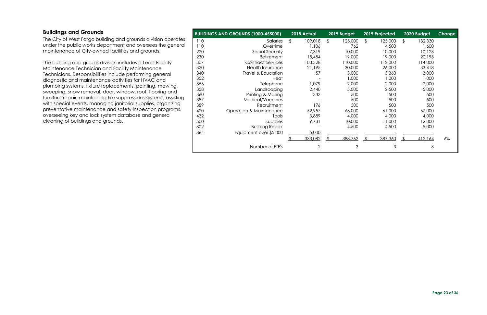#### <span id="page-22-0"></span>**Buildings and Grounds**

The City of West Fargo building and grounds division operates under the public works department and oversees the general maintenance of City-owned facilities and grounds.

The building and groups division includes a Lead Facility Maintenance Technician and Facility Maintenance Technicians. Responsibilities include performing general diagnostic and maintenance activities for HVAC and plumbing systems, fixture replacements, painting, mowing, sweeping, snow removal, door, window, roof, flooring and furniture repair, maintaining fire suppressions systems, assisting with special events, managing janitorial supplies, organizing preventative maintenance and safety inspection programs, overseeing key and lock system database and general cleaning of buildings and grounds.

|     | <b>BUILDINGS AND GROUNDS (1000-455000)</b> | 2018 Actual |                | 2019 Budget   | 2019 Projected | 2020 Budget   | <b>Change</b> |
|-----|--------------------------------------------|-------------|----------------|---------------|----------------|---------------|---------------|
| 110 | Salaries                                   | \$          | 109,018        | \$<br>125,000 | \$<br>125,000  | \$<br>132,330 |               |
| 110 | Overtime                                   |             | 1,106          | 762           | 4,500          | 1,600         |               |
| 220 | Social Security                            |             | 7,319          | 10,000        | 10,000         | 10,123        |               |
| 230 | Retirement                                 |             | 15,454         | 19,000        | 19,000         | 20,193        |               |
| 307 | <b>Contract Services</b>                   |             | 103,328        | 110,000       | 112,000        | 114,000       |               |
| 320 | <b>Health Insurance</b>                    |             | 21,195         | 30,000        | 26,000         | 33,418        |               |
| 340 | Travel & Education                         |             | 57             | 3,000         | 3,360          | 3,000         |               |
| 352 | Heat                                       |             |                | 1,000         | 1,000          | 1,000         |               |
| 356 | Telephone                                  |             | 1,079          | 2,000         | 2,000          | 2,000         |               |
| 358 | Landscaping                                |             | 2,440          | 5,000         | 2,500          | 5,000         |               |
| 360 | Printing & Mailing                         |             | 333            | 500           | 500            | 500           |               |
| 387 | Medical/Vaccines                           |             |                | 500           | 500            | 500           |               |
| 389 | Recruitment                                |             | 176            | 500           | 500            | 500           |               |
| 420 | <b>Operation &amp; Maintenance</b>         |             | 52,957         | 63,000        | 61,000         | 67,000        |               |
| 432 | Tools                                      |             | 3,889          | 4,000         | 4,000          | 4,000         |               |
| 500 | Supplies                                   |             | 9,731          | 10,000        | 11,000         | 12,000        |               |
| 802 | <b>Building Repair</b>                     |             |                | 4,500         | 4,500          | 5,000         |               |
| 864 | Equipment over \$5,000                     |             | 5,000          |               |                |               |               |
|     |                                            |             | 333,082        | 388,762       | 387,360        | 412,164       | $6\%$         |
|     | Number of FTE's                            |             | $\overline{2}$ | 3             | 3              | 3             |               |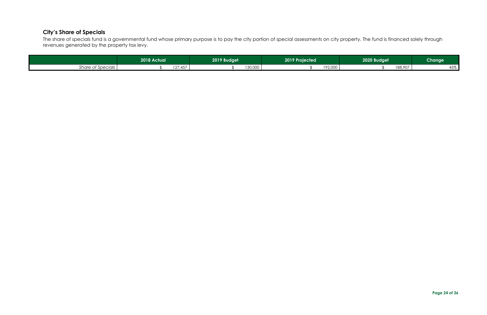#### <span id="page-23-0"></span>**City's Share of Specials**

The share of specials fund is a governmental fund whose primary purpose is to pay the city portion of special assessments on city property. The fund is financed solely through revenues generated by the property tax levy.

|                   | 2018 Actual | 2019 Budget           | 2019 Projected           | 2020 Budget | <b>Change</b> |
|-------------------|-------------|-----------------------|--------------------------|-------------|---------------|
| Share of Specials | 107         | 30,000<br>AET<br>, טד | 102000<br>$\ldots$ 2,000 | 188,907     | 45%           |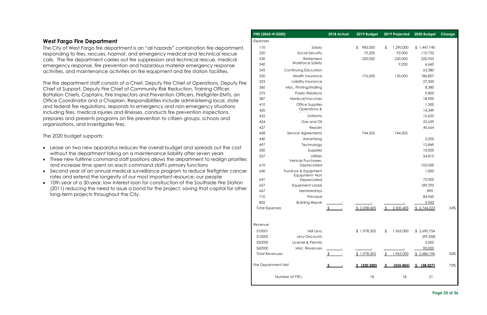#### **Page 25 of 36**

#### <span id="page-24-0"></span>**West Fargo Fire Department**

The City of West Fargo fire department is an "all hazards" combination fire department, responding to fires, rescues, hazmat, and emergency medical and technical rescue calls. The fire department carries out fire suppression and technical rescue, medical emergency response, fire prevention and hazardous material emergency response activities, and maintenance activities on fire equipment and fire station facilities.

The fire department staff consists of a Chief, Deputy Fire Chief of Operations, Deputy Fire Chief of Support, Deputy Fire Chief of Community Risk Reduction, Training Officer, Battalion Chiefs, Captains, Fire Inspectors and Prevention Officers, Firefighter-EMTs, an Office Coordinator and a Chaplain. Responsibilities include administering local, state and federal fire regulations, responds to emergency and non-emergency situations including fires, medical injuries and illnesses, conducts fire prevention inspections, prepares and presents programs on fire prevention to citizen groups, schools and organizations, and investigates fires.

The 2020 budget supports:

- Lease on two new apparatus reduces the overall budget and spreads out the cost without the department taking on a maintenance liability after seven years
- Three new fulltime command staff positions allows the department to realign priorities and increase time spent on each command staff's primary functions
- Second year of an annual medical surveillance program to reduce firefighter cancer rates and extend the longevity of our most important resource: our people
- 10th year of a 30-year, low interest loan for construction of the Southside Fire Station (2011) reducing the need to issue a bond for the project, saving that capital for other long-term projects throughout the City.

|    | FIRE (2060-415200)         |                                   | 2018 Actual | 2019 Budget   | 2019 Projected             | 2020 Budget | Change |
|----|----------------------------|-----------------------------------|-------------|---------------|----------------------------|-------------|--------|
|    | Expenses                   |                                   |             |               |                            |             |        |
|    | 110                        | Salary                            |             | 983,000<br>\$ | \$<br>1,290,000            | \$1,447,740 |        |
|    | 220                        | Social Security                   |             | 75,200        | 92,000                     | 110,752     |        |
|    | 230                        | Retirement                        |             | 230,000       | 230,000                    | 220,925     |        |
|    | 240                        | Workforce Safety                  |             |               | 9,200                      | 6,660       |        |
|    | 245                        | Continuing Education              |             |               |                            | 65,380      |        |
|    | 320                        | <b>Health Insurance</b>           |             | 176,000       | 135,000                    | 186,807     |        |
| ë  | 323                        | Liability Insurance               |             |               |                            | 27,500      |        |
|    | 360                        | Misc. Printing/Mailing            |             |               |                            | 8,380       |        |
|    | 375                        | <b>Public Relations</b>           |             |               |                            | 9,800       |        |
|    | 387                        | Medical/Vaccines                  |             |               |                            | 18,900      |        |
|    | 410                        | Office Supplies                   |             |               |                            | 1,500       |        |
|    | 420                        | Operations &                      |             |               |                            | 14,349      |        |
|    | 422                        | Uniforms                          |             |               |                            | 15,625      |        |
|    | 424                        | Gas and Oil                       |             |               |                            | 25,639      |        |
|    | 427                        | Repairs                           |             |               |                            | 40,664      |        |
|    | 428                        | Service Agreements                |             | 744,205       | 744,205                    |             |        |
|    | 440                        | Advertising                       |             |               |                            | 2,000       |        |
|    | 497                        | Technology                        |             |               |                            | 12,849      |        |
|    | 500                        | Supplies                          |             |               |                            | 10,000      |        |
| ЭS | 527                        | Utilities                         |             |               |                            | 54,815      |        |
|    | 610                        | Vehicle Purchases-<br>Depreciated |             |               |                            | 105,000     |        |
| Эr | 640                        | Furniture & Equipment             |             |               |                            | 1,850       |        |
|    |                            | Equipment-Non                     |             |               |                            |             |        |
|    | 641                        | Depreciated                       |             |               |                            | 72,000      |        |
| эr | 657                        | <b>Equipment Lease</b>            |             |               |                            | 189,295     |        |
|    | 667                        | Memberships                       |             |               |                            | 890         |        |
|    | 710                        | Principal                         |             |               |                            | 84,960      |        |
|    | 802                        | <b>Building Repair</b>            |             |               |                            | 9,943       |        |
|    | <b>Total Expenses</b>      |                                   |             | \$2,208,405   | 2,500,405                  | \$2,744,223 | 24%    |
|    |                            |                                   |             |               |                            |             |        |
|    | Revenue                    |                                   |             |               |                            |             |        |
|    | 310001                     | Mill Levy                         |             | \$1,978,205   | 1,965,000<br>\$            | \$2,690,754 |        |
|    | 310002                     | Levy Discounts                    |             |               |                            | (99, 558)   |        |
|    | 320000                     | License & Permits                 |             |               |                            | 5,000       |        |
|    | 360000                     | Misc. Revenues                    |             |               |                            | 90,000      |        |
|    | <b>Total Revenues</b>      |                                   |             | \$1,978,205   | 1,965,000<br><sup>\$</sup> | \$2,686,196 | 36%    |
|    |                            |                                   |             |               |                            |             |        |
|    | <b>Fire Department Net</b> |                                   |             | S(230, 200)   | (535, 405)<br><u>ے</u>     | S(58,027)   | 75%    |
|    |                            | Number of FTE's                   |             | 18            | 18                         | 21          |        |
|    |                            |                                   |             |               |                            |             |        |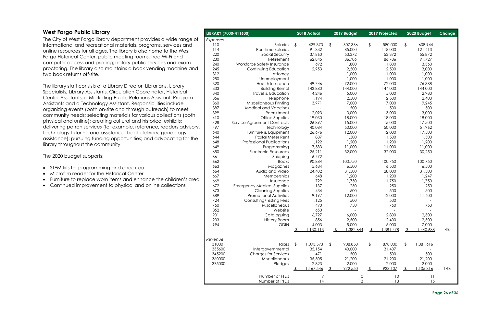**Page 26 of 36**

#### <span id="page-25-0"></span>**West Fargo Public Library**

The City of West Fargo library department provides a wide range of informational and recreational materials, programs, services and online resources for all ages. The library is also home to the West Fargo Historical Center, public meeting rooms, free Wi-Fi and computer access and printing; notary public services and exam proctoring. The library also maintains a book vending machine and two book returns off-site.

The library staff consists of a Library Director, Librarians, Library Specialists, Library Assistants, Circulation Coordinator, Historical Center Assistants, a Marketing-Public Relations Assistant, Program Assistants and a Technology Assistant. Responsibilities include organizing events (both on-site and through outreach) to meet community needs; selecting materials for various collections (both physical and online); creating cultural and historical exhibits; delivering patron services (for example, reference, readers advisory, technology tutoring and assistance, book delivery; genealogy assistance); pursuing funding opportunities; and advocating for the library throughout the community.

The 2020 budget supports:

- STEM kits for programming and check out
- Microfilm reader for the Historical Center
- Furniture to replace worn items and enhance the children's area
- Continued improvement to physical and online collections

| LIBRARY (7000-411600) |                                   |                          | 2018 Actual |                | 2019 Budget |               | 2019 Projected |                | 2020 Budget | Change |
|-----------------------|-----------------------------------|--------------------------|-------------|----------------|-------------|---------------|----------------|----------------|-------------|--------|
| Expenses              |                                   |                          |             |                |             |               |                |                |             |        |
| 110                   | Salaries                          | \$                       | 429,373     | $\frac{1}{2}$  | 607,366     | $\frac{1}{2}$ | 580,000        | \$             | 608,944     |        |
| 114                   | Part-time Salaries                |                          | 91,332      |                | 85,000      |               | 118,000        |                | 121,413     |        |
| 220                   | Social Security                   |                          | 37,860      |                | 53,372      |               | 53,372         |                | 55,872      |        |
| 230                   | Retirement                        |                          | 62,845      |                | 86,706      |               | 86,706         |                | 91,727      |        |
| 240                   | Workforce Safety Insurance        |                          | 692         |                | 1,800       |               | 1,800          |                | 3,360       |        |
| 245                   | Continuing Education              |                          | 2,953       |                | 2,500       |               | 2,500          |                | 3,000       |        |
| 312                   | Attorney                          |                          |             |                | 1,000       |               | 1,000          |                | 1,000       |        |
| 250                   | Unemployment                      |                          |             |                | 1,000       |               | 1,000          |                | 1,000       |        |
| 320                   | Health Insurance                  |                          | 49,746      |                | 72,000      |               | 72,000         |                | 76,888      |        |
| 333                   | <b>Building Rental</b>            |                          | 143,880     |                | 144,000     |               | 144,000        |                | 144,000     |        |
| 340                   | Travel & Education                |                          | 4,246       |                | 5,000       |               | 5,000          |                | 2,980       |        |
| 356                   | Telephone                         |                          | 1,194       |                | 2,500       |               | 2,500          |                | 2,400       |        |
| 360                   | Miscellaneous Printing            |                          | 3,971       |                | 7,000       |               | 7,000          |                | 9,245       |        |
| 387                   | <b>Medical and Vaccines</b>       |                          |             |                | 500         |               | 500            |                | 500         |        |
| 399                   | Recruitment                       |                          | 2,093       |                | 3,000       |               | 3,000          |                | 3,000       |        |
| 410                   | Office Supplies                   |                          | 19,030      |                | 18,000      |               | 18,000         |                | 18,000      |        |
| 428                   | Service Agreement Contracts       |                          | 26,897      |                | 15,000      |               | 15,000         |                | 17,500      |        |
| 497                   | Technology                        |                          | 40,084      |                | 50,000      |               | 50,000         |                | 51,962      |        |
| 640                   | Furniture & Equipment             |                          | 26,676      |                | 12,000      |               | 12,000         |                | 17,500      |        |
| 644                   | Postal Meter Rent                 |                          | 887         |                | 1,500       |               | 1,500          |                | 1,500       |        |
| 648                   | <b>Professional Publications</b>  |                          | 1,122       |                | 1,200       |               | 1,200          |                | 1,200       |        |
| 649                   | Programming                       |                          | 7,583       |                | 11,000      |               | 11,000         |                | 11,000      |        |
| 650                   | <b>Electronic Resources</b>       |                          | 25,211      |                | 32,000      |               | 32,000         |                | 30,250      |        |
| 661                   | Shipping                          |                          | 6,472       |                |             |               |                |                |             |        |
| 662                   | <b>Books</b>                      |                          | 90,884      |                | 100,750     |               | 100,750        |                | 100,750     |        |
| 663                   | Magazines                         |                          | 5,684       |                | 6,500       |               | 6,500          |                | 6,500       |        |
| 664                   | Audio and Video                   |                          | 24,402      |                | 31,500      |               | 28,000         |                | 31,500      |        |
| 667                   | Memberships                       |                          | 648         |                | 1,200       |               | 1,200          |                | 1,247       |        |
| 669                   | Insurance                         |                          | 729         |                | 1,750       |               | 1,750          |                | 1,750       |        |
| 672                   | <b>Emergency Medical Supplies</b> |                          | 137         |                | 250         |               | 250            |                | 250         |        |
| 673                   | <b>Cleaning Supplies</b>          |                          | 434         |                | 500         |               | 500            |                | 500         |        |
| 689                   | <b>Promotional Activities</b>     |                          | 9,197       |                | 12,000      |               | 12,000         |                | 11,400      |        |
| 724                   | Consulting/Testing Fees           |                          | 1,125       |                | 500         |               | 500            |                |             |        |
| 750                   | Miscellaneous                     |                          | 490         |                | 750         |               | 750            |                | 750         |        |
| 852                   | Website                           |                          | 650         |                |             |               |                |                |             |        |
| 901                   | Cataloguing                       |                          | 6,727       |                | 6,000       |               | 2,800          |                | 2,300       |        |
| 903                   | <b>History Room</b>               |                          | 856         |                | 2,500       |               | 2,400          |                | 2,500       |        |
| 994                   | <b>ODIN</b>                       |                          | 4,003       |                | 5,000       |               | 5,000          |                | 7,000       |        |
|                       |                                   | $\overline{\mathcal{F}}$ | 1,130,113   |                | 1,382,644   | $\sqrt{2}$    | ,381,478       | $\frac{1}{2}$  | 1,440,688   | $4\%$  |
| Revenue               |                                   |                          |             |                |             |               |                |                |             |        |
| 310001                | Taxes                             | \$                       | 1,093,593   | $\frac{1}{2}$  | 908,850     | \$            | 878,000        | \$             | 1,081,616   |        |
| 335600                | Intergovernmental                 |                          | 35,154      |                | 40,000      |               | 31,407         |                |             |        |
| 345200                | <b>Charges for Services</b>       |                          | 471         |                | 500         |               | 500            |                | 500         |        |
| 360000                | Miscellaneous                     |                          | 35,505      |                | 21,200      |               | 21,200         |                | 21,200      |        |
| 375000                | Pledges                           |                          | 2,823       |                | 2,000       |               | 2,000          |                | 2,000       |        |
|                       |                                   | \$                       | 1,167,546   | $\mathfrak{L}$ | 972,550     |               | 933,107        | $\mathfrak{L}$ | 1,105,316   | 14%    |
|                       |                                   |                          | 9           |                | 10          |               |                |                |             |        |
|                       | Number of FTE's                   |                          |             |                |             |               | 10             |                | 11          |        |
|                       | Number of PTE's                   |                          | 4           |                | 13          |               | 13             |                | 15          |        |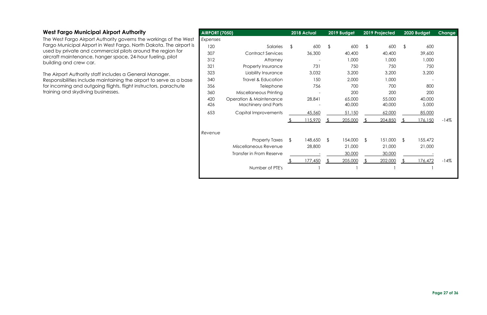#### <span id="page-26-0"></span>**West Fargo Municipal Airport Authority**

The West Fargo Airport Authority governs the workings of the West Fargo Municipal Airport in West Fargo, North Dakota. The airport is used by private and commercial pilots around the region for aircraft maintenance, hanger space, 24-hour fueling, pilot building and crew car.

The Airport Authority staff includes a General Manager. Responsibilities include maintaining the airport to serve as a base for incoming and outgoing flights, flight instructors, parachute training and skydiving businesses.

| <b>AIRPORT (7050)</b> |                                    |                         | 2018 Actual |               | 2019 Budget | 2019 Projected | 2020 Budget   | Change |
|-----------------------|------------------------------------|-------------------------|-------------|---------------|-------------|----------------|---------------|--------|
| Expenses              |                                    |                         |             |               |             |                |               |        |
| 120                   | Salaries                           | \$                      | 600         | $\frac{1}{2}$ | 600         | \$<br>600      | \$<br>600     |        |
| 307                   | <b>Contract Services</b>           |                         | 36,300      |               | 40,400      | 40,400         | 39,600        |        |
| 312                   | Attorney                           |                         |             |               | 1,000       | 1,000          | 1,000         |        |
| 321                   | Property Insurance                 |                         | 731         |               | 750         | 750            | 750           |        |
| 323                   | Liability Insurance                |                         | 3,032       |               | 3,200       | 3,200          | 3,200         |        |
| 340                   | Travel & Education                 |                         | 150         |               | 2,000       | 1,000          |               |        |
| 356                   | Telephone                          |                         | 756         |               | 700         | 700            | 800           |        |
| 360                   | Miscellaneous Printing             |                         |             |               | 200         | 200            | 200           |        |
| 420                   | <b>Operation &amp; Maintenance</b> |                         | 28,841      |               | 65,000      | 55,000         | 40,000        |        |
| 426                   | <b>Machinery and Parts</b>         |                         |             |               | 40,000      | 40,000         | 5,000         |        |
| 653                   | Capital Improvements               |                         | 45,560      |               | 51,150      | 62,000         | 85,000        |        |
|                       |                                    |                         | 115,970     |               | 205,000     | \$<br>204,850  | 176,150       | $-14%$ |
| Revenue               |                                    |                         |             |               |             |                |               |        |
|                       | <b>Property Taxes</b>              | $\sqrt[6]{\frac{1}{2}}$ | 148,650     | \$            | 154,000     | \$<br>151,000  | \$<br>155,472 |        |
|                       | Miscellaneous Revenue              |                         | 28,800      |               | 21,000      | 21,000         | 21,000        |        |
|                       | Transfer in From Reserve           |                         |             |               | 30,000      | 30,000         |               |        |
|                       |                                    |                         | 177,450     |               | 205,000     | 202,000        | 176,472       | $-14%$ |
|                       | Number of PTE's                    |                         |             |               |             |                |               |        |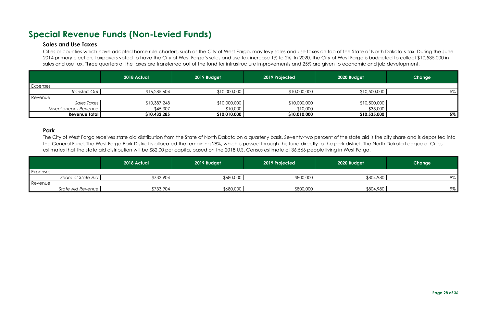## <span id="page-27-1"></span><span id="page-27-0"></span>**Special Revenue Funds (Non-Levied Funds)**

#### **Sales and Use Taxes**

Cities or counties which have adopted home rule charters, such as the City of West Fargo, may levy sales and use taxes on top of the State of North Dakota's tax. During the June 2014 primary election, taxpayers voted to have the City of West Fargo's sales and use tax increase 1% to 2%. In 2020, the City of West Fargo is budgeted to collect \$10,535,000 in sales and use tax. Three quarters of the taxes are transferred out of the fund for infrastructure improvements and 25% are given to economic and job development.

|                       | 2018 Actual  | 2019 Budget  | 2019 Projected | 2020 Budget  | Change |
|-----------------------|--------------|--------------|----------------|--------------|--------|
| Expenses              |              |              |                |              |        |
| Transfers Out         | \$16,285,604 | \$10,000,000 | \$10,000,000   | \$10,500,000 | 5%     |
| Revenue               |              |              |                |              |        |
| Sales Taxes           | \$10,387,248 | \$10,000,000 | \$10,000,000   | \$10,500,000 |        |
| Miscellaneous Revenue | \$45,307     | \$10,000     | \$10,000       | \$35,000     |        |
| <b>Revenue Total</b>  | \$10,432,285 | \$10,010,000 | \$10,010,000   | \$10,535,000 | $5\%$  |

#### <span id="page-27-2"></span>**Park**

The City of West Fargo receives state aid distribution from the State of North Dakota on a quarterly basis. Seventy-two percent of the state aid is the city share and is deposited into the General Fund. The West Fargo Park District is allocated the remaining 28%, which is passed through this fund directly to the park district. The North Dakota League of Cities estimates that the state aid distribution will be \$82.00 per capita, based on the 2018 U.S. Census estimate of 36,566 people living in West Fargo.

|          |                    | 2018 Actual | 2019 Budget | 2019 Projected | 2020 Budget | Change |
|----------|--------------------|-------------|-------------|----------------|-------------|--------|
| Expenses |                    |             |             |                |             |        |
|          | Share of State Aid | \$733,904   | \$680,000   | \$800,000      | \$804,980   | 9%     |
| Revenue  |                    |             |             |                |             |        |
|          | State Aid Revenue  | \$733,904   | \$680,000   | \$800,000      | \$804,980   | 9%     |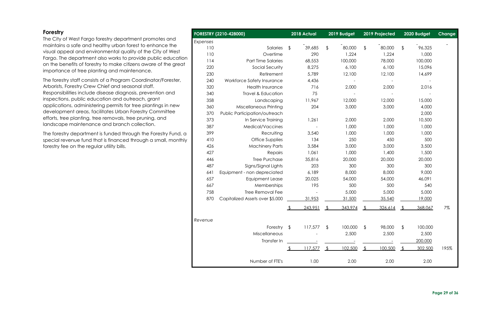#### <span id="page-28-0"></span>**Forestry**

The City of West Fargo forestry department promotes and maintains a safe and healthy urban forest to enhance the visual appeal and environmental quality of the City of West Fargo. The department also works to provide public education on the benefits of forestry to make citizens aware of the great importance of tree planting and maintenance.

The forestry staff consists of a Program Coordinator/Forester, Arborists, Forestry Crew Chief and seasonal staff. Responsibilities include disease diagnosis, prevention and inspections, public education and outreach, grant applications, administering permits for tree plantings in new development areas, facilitates Urban Forestry Committee efforts, tree planting, tree removals, tree pruning, and landscape maintenance and branch collection.

The forestry department is funded through the Forestry Fund, a special revenue fund that is financed through a small, monthly forestry fee on the regular utility bills.

|          | <b>FORESTRY (2210-428000)</b>   |               | 2018 Actual |                | 2019 Budget |                | 2019 Projected |                | 2020 Budget | Change |
|----------|---------------------------------|---------------|-------------|----------------|-------------|----------------|----------------|----------------|-------------|--------|
| Expenses |                                 |               |             |                |             |                |                |                |             |        |
| 110      | Salaries                        | $\frac{1}{2}$ | 39,685      | $\frac{1}{2}$  | 80,000      | $\frac{1}{2}$  | 80,000         | $\frac{1}{2}$  | 96,325      |        |
| 110      | Overtime                        |               | 290         |                | 1,224       |                | 1,224          |                | 1,000       |        |
| 114      | Part Time Salaries              |               | 68,553      |                | 100,000     |                | 78,000         |                | 100,000     |        |
| 220      | Social Security                 |               | 8,275       |                | 6,100       |                | 6,100          |                | 15,096      |        |
| 230      | Retirement                      |               | 5,789       |                | 12,100      |                | 12,100         |                | 14,699      |        |
| 240      | Workforce Safety Insurance      |               | 4,436       |                |             |                |                |                |             |        |
| 320      | <b>Health Insurance</b>         |               | 716         |                | 2,000       |                | 2,000          |                | 2,016       |        |
| 340      | Travel & Education              |               | 75          |                |             |                |                |                |             |        |
| 358      | Landscaping                     |               | 11,967      |                | 12,000      |                | 12,000         |                | 15,000      |        |
| 360      | Miscellaneous Printing          |               | 204         |                | 3,000       |                | 3,000          |                | 4,000       |        |
| 370      | Public Participation/outreach   |               |             |                |             |                |                |                | 2,000       |        |
| 373      | In Service Training             |               | 1,261       |                | 2,000       |                | 2,000          |                | 10,500      |        |
| 387      | Medical/Vaccines                |               |             |                | 1,000       |                | 1,000          |                | 1,000       |        |
| 399      | Recruiting                      |               | 3,540       |                | 1,000       |                | 1,000          |                | 1,000       |        |
| 410      | Office Supplies                 |               | 134         |                | 250         |                | 450            |                | 500         |        |
| 426      | <b>Machinery Parts</b>          |               | 3,584       |                | 3,000       |                | 3,000          |                | 3,500       |        |
| 427      | Repairs                         |               | 1,061       |                | 1,000       |                | 1,400          |                | 1,500       |        |
| 446      | <b>Tree Purchase</b>            |               | 35,816      |                | 20,000      |                | 20,000         |                | 20,000      |        |
| 487      | Signs/Signal Lights             |               | 203         |                | 300         |                | 300            |                | 300         |        |
| 641      | Equipment - non depreciated     |               | 6,189       |                | 8,000       |                | 8,000          |                | 9,000       |        |
| 657      | <b>Equipment Lease</b>          |               | 20,025      |                | 54,000      |                | 54,000         |                | 46,091      |        |
| 667      | Memberships                     |               | 195         |                | 500         |                | 500            |                | 540         |        |
| 758      | <b>Tree Removal Fee</b>         |               |             |                | 5,000       |                | 5,000          |                | 5,000       |        |
| 870      | Capitalized Assets over \$5,000 |               | 31,953      |                | 31,500      |                | 35,540         |                | 19,000      |        |
|          |                                 | \$.           | 243.951     |                | 343.974     |                | 326.614        |                | 368.067     | 7%     |
| Revenue  |                                 |               |             |                |             |                |                |                |             |        |
|          | Forestry                        | \$            | 117,577     | \$.            | 100,000     | \$             | 98,000         | \$             | 100,000     |        |
|          | Miscellaneous                   |               |             |                | 2,500       |                | 2,500          |                | 2,500       |        |
|          | Transfer In                     |               |             |                |             |                |                |                | 200,000     |        |
|          |                                 |               | 117,577     | $\mathfrak{L}$ | 102,500     | $\mathfrak{L}$ | 100,500        | $\mathfrak{L}$ | 302,500     | 195%   |
|          | Number of FTE's                 |               | 1.00        |                | 2.00        |                | 2.00           |                | 2.00        |        |

| 2018 Actual          |                         | 2019 Budget |                | 2019 Projected |                       | 2020 Budget | <b>Change</b> |
|----------------------|-------------------------|-------------|----------------|----------------|-----------------------|-------------|---------------|
|                      |                         |             |                |                |                       |             |               |
| \$<br>39,685         | $\frac{1}{2}$           | 80,000      | $\frac{1}{2}$  | 80,000         | $\frac{1}{2}$         | 96,325      |               |
| 290                  |                         | 1,224       |                | 1,224          |                       | 1,000       |               |
| 68,553               |                         | 100,000     |                | 78,000         |                       | 100,000     |               |
| 8,275                |                         | 6,100       |                | 6,100          |                       | 15,096      |               |
| 5,789                |                         | 12,100      |                | 12,100         |                       | 14,699      |               |
| 4,436                |                         |             |                |                |                       |             |               |
| 716                  |                         | 2,000       |                | 2,000          |                       | 2,016       |               |
| 75                   |                         |             |                |                |                       |             |               |
| 11,967               |                         | 12,000      |                | 12,000         |                       | 15,000      |               |
| 204                  |                         | 3,000       |                | 3,000          |                       | 4,000       |               |
|                      |                         |             |                |                |                       | 2,000       |               |
| 1,261                |                         | 2,000       |                | 2,000          |                       | 10,500      |               |
|                      |                         | 1,000       |                | 1,000          |                       | 1,000       |               |
| 3,540                |                         | 1,000       |                | 1,000          |                       | 1,000       |               |
| 134                  |                         | 250         |                | 450            |                       | 500         |               |
| 3,584                |                         | 3,000       |                | 3,000          |                       | 3,500       |               |
| 1,061                |                         | 1,000       |                | 1,400          |                       | 1,500       |               |
| 35,816               |                         | 20,000      |                | 20,000         |                       | 20,000      |               |
| 203                  |                         | 300         |                | 300            |                       | 300         |               |
| 6,189                |                         | 8,000       |                | 8,000          |                       | 9,000       |               |
| 20,025               |                         | 54,000      |                | 54,000         |                       | 46,091      |               |
| 195                  |                         | 500         |                | 500            |                       | 540         |               |
|                      |                         | 5,000       |                | 5,000          |                       | 5,000       |               |
| <u>31,953</u>        |                         | 31,500      |                | 35,540         |                       | 19,000      |               |
| \$<br>243,951        | ౨                       | 343,974     | $\mathfrak{L}$ | 326,614        | $\frac{1}{2}$         | 368,067     | 7%            |
| \$<br>117,577        | $\frac{1}{2}$           | 100,000     | $\frac{1}{2}$  | 98,000         | $\boldsymbol{\theta}$ | 100,000     |               |
|                      |                         | 2,500       |                | 2,500          |                       | 2,500       |               |
|                      |                         |             |                |                |                       | 200,000     |               |
| \$<br><u>117,577</u> | $\sqrt[6]{\frac{1}{2}}$ | 102,500     | $\sqrt{2}$     | 100,500        | $\sqrt{2}$            | 302,500     | 195%          |
|                      |                         |             |                |                |                       |             |               |
| 1.00                 |                         | 2.00        |                | 2.00           |                       | 2.00        |               |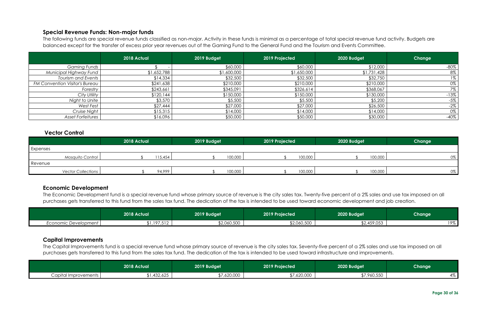The following funds are special revenue funds classified as non-major. Activity in these funds is minimal as a percentage of total special revenue fund activity. Budgets are balanced except for the transfer of excess prior year revenues out of the Gaming Fund to the General Fund and the Tourism and Events Committee.

#### <span id="page-29-0"></span>**Special Revenue Funds: Non-major funds**

|                                       | 2018 Actual | 2019 Budget | 2019 Projected | 2020 Budget | Change |
|---------------------------------------|-------------|-------------|----------------|-------------|--------|
| <b>Gaming Funds</b>                   |             | \$60,000    | \$60,000       | \$12,000    | $-80%$ |
| Municipal Highway Fund                | \$1,652,788 | \$1,600,000 | \$1,650,000    | \$1,731,428 | 8%     |
| <b>Tourism and Events</b>             | \$14,334    | \$32,500    | \$32,500       | \$32,750    | $1\%$  |
| <b>FM Convention Visitor's Bureau</b> | \$241,638   | \$210,000   | \$210,000      | \$210,000   | 0%     |
| Forestry                              | \$243,661   | \$345,091   | \$326,614      | \$368,067   | 7%     |
| City Utility                          | \$120,144   | \$150,000   | \$150,000      | \$130,000   | $-13%$ |
| Night to Unite                        | \$3,570     | \$5,500     | \$5,500        | \$5,200     | $-5%$  |
| West Fest                             | \$27,444    | \$27,000    | \$27,000       | \$26,500    | $-2%$  |
| Cruise Night                          | \$15,315    | \$14,000    | \$14,000       | \$14,000    | 0%     |
| <b>Asset Forfeitures</b>              | \$16,096    | \$50,000    | \$50,000       | \$30,000    | $-40%$ |

#### <span id="page-29-1"></span>**Vector Control**

The Capital Improvements fund is a special revenue fund whose primary source of revenue is the city sales tax. Seventy-five percent of a 2% sales and use tax imposed on all purchases gets transferred to this fund from the sales tax fund. The dedication of the tax is intended to be used toward infrastructure and improvements.

|                           | 2018 Actual |         | 2019 Budget |         | 2019 Projected |         | 2020 Budget |         | Change |
|---------------------------|-------------|---------|-------------|---------|----------------|---------|-------------|---------|--------|
| Expenses                  |             |         |             |         |                |         |             |         |        |
| Mosquito Control          |             | 115,454 |             | 100,000 |                | 100,000 |             | 100,000 | 0%     |
| Revenue                   |             |         |             |         |                |         |             |         |        |
| <b>Vector Collections</b> |             | 94,999  |             | 100,000 |                | 100,000 |             | 100,000 | $0\%$  |

#### <span id="page-29-2"></span>**Economic Development**

The Economic Development fund is a special revenue fund whose primary source of revenue is the city sales tax. Twenty-five percent of a 2% sales and use tax imposed on all purchases gets transferred to this fund from the sales tax fund. The dedication of the tax is intended to be used toward economic development and job creation.

|                      | 2018 Actual <sup>1</sup> | 2019 Budget | 2019 Projected | 2020 Budget | Change         |
|----------------------|--------------------------|-------------|----------------|-------------|----------------|
| Economic Development | ا 197,512,ار             | \$2,060,500 | \$2,060,500    | \$2,459,053 | 19%<br>, , , o |

#### <span id="page-29-3"></span>**Capital Improvements**

|                        | 2018 Actual     | 2019 Budget           | 2019 Projected       | 2020 Budget | <b>Change</b> |
|------------------------|-----------------|-----------------------|----------------------|-------------|---------------|
| Capital Improvements I | メウド<br>,432,625 | 100000<br>OUU,USO, \¢ | 100.000<br>.,62U,UUU | \$7,960,550 | 4/0           |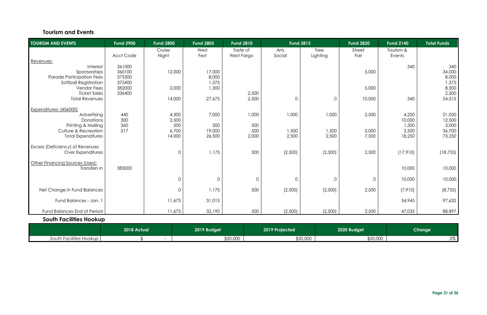#### **Tourism and Events**

<span id="page-30-1"></span>

|                         | 2018 Actual <sup>1</sup> | 2019 Budget | 2019 Projected | 2020 Budget | <b>Change</b> |
|-------------------------|--------------------------|-------------|----------------|-------------|---------------|
| South Facilities Hookup |                          | \$50,000    | \$50,000       | \$50,000    | 0%            |

<span id="page-30-0"></span>

| <b>TOURISM AND EVENTS</b>                                        | <b>Fund 2900</b> | <b>Fund 2800</b>    | <b>Fund 2805</b> | <b>Fund 2810</b> |              | <b>Fund 2815</b> | <b>Fund 2820</b> | <b>Fund 2140</b> | <b>Total Funds</b> |
|------------------------------------------------------------------|------------------|---------------------|------------------|------------------|--------------|------------------|------------------|------------------|--------------------|
|                                                                  |                  | Cruise              | West             | Taste of         | Arts         | Tree             | Street           | Tourism &        |                    |
|                                                                  | <b>Acct Code</b> | Night               | Fest             | West Fargo       | Social       | Lighting         | Fair             | Events           |                    |
| Revenues:                                                        |                  |                     |                  |                  |              |                  |                  |                  |                    |
| Interest                                                         | 361000           |                     |                  |                  |              |                  |                  | 340              | 340                |
| Sponsorships                                                     | 360100           | 12,000              | 17,000           |                  |              |                  | 5,000            |                  | 34,000             |
| <b>Parade Participation Fees</b><br><b>Softball Registration</b> | 375300<br>375400 |                     | 8,000<br>1,375   |                  |              |                  |                  |                  | 8,000              |
| <b>Vendor Fees</b>                                               | 382000           | 2,000               | 1,300            |                  |              |                  | 5,000            |                  | 1,375<br>8,300     |
| <b>Ticket Sales</b>                                              | 336400           |                     |                  | 2,500            |              |                  |                  |                  | 2,500              |
| <b>Total Revenues</b>                                            |                  | 14,000              | 27,675           | 2,500            | $\mathbf 0$  | $\mathbf 0$      | 10,000           | 340              | 54,515             |
|                                                                  |                  |                     |                  |                  |              |                  |                  |                  |                    |
| Expenditures: (456000)                                           |                  |                     |                  |                  |              |                  |                  |                  |                    |
| Advertising                                                      | 440              | 4,300               | 7,000            | 1,000            | 1,000        | 1,000            | 2,500            | 4,250            | 21,050             |
| Donations                                                        | 300              | 2,500               |                  |                  |              |                  |                  | 10,000           | 12,500             |
| Printing & Mailing                                               | 360              | 500                 | 500              | 500              |              |                  |                  | 1,500            | 3,000              |
| Culture & Recreation                                             | 517              | 6,700               | 19,000           | 500              | 1,500        | 1,500            | 5,000            | 2,500            | 36,700             |
| <b>Total Expenditures</b>                                        |                  | 14,000              | 26,500           | 2,000            | 2,500        | 2,500            | 7,500            | 18,250           | 73,250             |
| <b>Excess (Deficiency) of Revenues</b>                           |                  |                     |                  |                  |              |                  |                  |                  |                    |
| Over Expenditures                                                |                  | $\overline{0}$      | 1,175            | 500              | (2,500)      | (2,500)          | 2,500            | (17,910)         | (18, 735)          |
| Other Financing Sources (Uses):                                  |                  |                     |                  |                  |              |                  |                  |                  |                    |
| Transfers in                                                     | 383000           |                     |                  |                  |              |                  |                  | 10,000           | 10,000             |
|                                                                  |                  | $\mathsf{O}\xspace$ | $\overline{0}$   | $\mathsf{O}$     | $\mathsf{O}$ | $\overline{0}$   | $\overline{0}$   | 10,000           | 10,000             |
|                                                                  |                  |                     |                  |                  |              |                  |                  |                  |                    |
| Net Change in Fund Balances                                      |                  | $\overline{0}$      | 1,175            | 500              | (2,500)      | (2,500)          | 2,500            | (7,910)          | (8, 735)           |
| Fund Balances - Jan. 1                                           |                  | 11,673              | 31,015           |                  |              |                  |                  | 54,945           | 97,632             |
| Fund Balances End of Period                                      |                  | 11,673              | 32,190           | 500              | (2,500)      | (2,500)          | 2,500            | 47,035           | 88,897             |
| <b>South Facilities Hookup</b>                                   |                  |                     |                  |                  |              |                  |                  |                  |                    |
|                                                                  |                  |                     |                  |                  |              |                  |                  |                  |                    |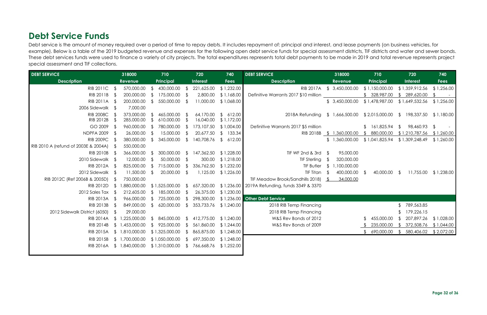## <span id="page-31-0"></span>**Debt Service Funds**

Debt service is the amount of money required over a period of time to repay debts. It includes repayment of: principal and interest, and lease payments (on business vehicles, for example). Below is a table of the 2019 budgeted revenue and expenses for the following open debt service funds for special assessment districts, TIF districts and water and sewer bonds. These debt services funds were used to finance a variety of city projects. The total expenditures represents total debt payments to be made in 2019 and total revenue represents project special assessment and TIF collections.

| <b>DEBT SERVICE</b><br><b>Description</b> |                | 318000         |                              | 710            |                | 720                | 740                      | <b>DEBT SERVICE</b>                           |               | 318000                    |                 | 710            |                | 720            | 740        |
|-------------------------------------------|----------------|----------------|------------------------------|----------------|----------------|--------------------|--------------------------|-----------------------------------------------|---------------|---------------------------|-----------------|----------------|----------------|----------------|------------|
|                                           |                | <b>Revenue</b> | Principal<br><b>Interest</b> |                | <b>Fees</b>    | <b>Description</b> |                          | <b>Revenue</b>                                | Principal     |                           | <b>Interest</b> |                | <b>Fees</b>    |                |            |
| RIB 2011C \$                              |                | 570,000.00     |                              | 430,000.00     | Ĵ.             | 221,625.00         | \$1,232.00               |                                               |               | RIB 2017A \$ 3,450,000.00 |                 | \$1,150,000.00 |                | \$1,359,912.56 | \$1,256.00 |
| RIB 2011B                                 | $\mathcal{F}$  | 200,000.00     | - ዩ                          | 175,000.00     | $\mathcal{S}$  | 2,800.00           | \$1,168.00               | Definitive Warrants 2017 \$10 million         |               |                           |                 | \$328,987.00   |                | 289,620.00     | $\sim$     |
| <b>RIB 2011A</b>                          | - \$           | 200,000.00     | <sup>\$</sup>                | 550,000.00     | <b>\$</b>      | 11,000.00          | \$1,068.00               |                                               |               | \$3,450,000.00            |                 | \$1,478,987.00 |                | \$1,649,532.56 | \$1,256.00 |
| 2006 Sidewalk \$                          |                | 7,000.00       |                              |                |                |                    |                          |                                               |               |                           |                 |                |                |                |            |
| <b>RIB 2008C</b>                          |                | 373,000.00     |                              | 465,000.00     |                | 64,170.00          | \$612.00                 | 2018A Refunding                               |               | \$1,666,500.00            |                 | \$2,015,000.00 | $\mathcal{L}$  | 198,337.50     | \$1,180.00 |
| RIB 2012B                                 |                | 285,000.00     |                              | 610,000.00     | - \$           | 16,040.00          | \$1,172.00               |                                               |               |                           |                 |                |                |                |            |
| GO 2009                                   | -\$            | 960,000.00     | \$                           | 780,000.00     | - \$           | 173,107.50         | \$1,004.00               | Definitive Warrants 2017 \$5 million          |               |                           |                 | \$161,825.94   | $\mathfrak{L}$ | 98,460.93      | $\sqrt{2}$ |
| <b>NDPFA 2009</b>                         | -\$            | 26,000.00      | \$                           | 15,000.00      | -S             | 20,677.50          | 133.34<br>$\sqrt[6]{2}$  |                                               |               | RIB 2018B \$ 1,360,000.00 |                 | 880,000.00     |                | \$1,210,787.56 | \$1,260.00 |
| <b>RIB 2009C</b>                          |                | 380,000.00     | $\mathfrak{P}$               | 345,000.00     | $\mathfrak{L}$ | 140,708.76         | $\mathfrak{L}$<br>612.00 |                                               |               | \$1,360,000.00            |                 | \$1,041,825.94 |                | \$1,309,248.49 | \$1,260.00 |
| RIB 2010 A (refund of 2003E & 2004A)      |                | 550,000.00     |                              |                |                |                    |                          |                                               |               |                           |                 |                |                |                |            |
| RIB 2010B                                 | - \$           | 366,000.00     | $\mathfrak{L}$               | 300,000.00     | <sup>\$</sup>  | 147,362.50         | \$1,228.00               | TIF WF 2nd & 3rd $$$                          |               | 95,000.00                 |                 |                |                |                |            |
| 2010 Sidewalk \$                          |                | 12,000.00      |                              | 50,000.00      | $\mathfrak{g}$ | 300.00             | \$1,218.00               | <b>TIF Sterling</b>                           |               | 320,000.00                |                 |                |                |                |            |
| RIB 2012A \$                              |                | 825,000.00     | $\mathcal{S}$                | 715,000.00     | $\mathfrak{L}$ | 336,762.50         | \$1,232.00               | <b>TIF Butler</b>                             | $\mathcal{S}$ | 1,100,000.00              |                 |                |                |                |            |
| 2012 Sidewalk \$                          |                | 11,500.00      | -S                           | 20,000.00      | - S            | 1,125.00           | \$1,226.00               | TIF Titan                                     | - S           | 400,000.00                |                 | 40,000.00      | - SS           | 11,755.00      | \$1,238.00 |
| RIB 2012C (Ref 2006B & 2005D)             |                | 750,000.00     |                              |                |                |                    |                          | TIF Meadow Brook/Sandhills 2018) \$           |               | 34,000.00                 |                 |                |                |                |            |
| RIB 2012D                                 | $\mathfrak{L}$ | 1,880,000.00   |                              | \$1,525,000.00 | - \$           | 657,320.00         |                          | \$1,236.00 2019A Refunding, funds 3349 & 3370 |               |                           |                 |                |                |                |            |
| 2012 Sales Tax                            | - \$           | 212,605.00     | \$                           | 185,000.00     | -S             | 26,375.00          | \$1,230.00               |                                               |               |                           |                 |                |                |                |            |
| <b>RIB 2013A</b>                          | - \$           | 966,000.00     |                              | 725,000.00     | -S             | 298,300.00         |                          | \$1,236.00 Other Debt Service                 |               |                           |                 |                |                |                |            |
| RIB 2013B                                 |                | 849,000.00     | $\mathcal{L}$                | 620,000.00     | $\mathcal{L}$  | 353,733.76         | \$1,240.00               | 2018 RIB Temp Financing                       |               |                           |                 |                |                | 789,563.85     |            |
| 2012 Sidewalk District (6050)             | - \$           | 29,000.00      |                              |                |                |                    |                          | 2018 RIB Temp Financing                       |               |                           |                 |                |                | 179,226.15     |            |
| <b>RIB 2014A</b>                          | $\mathfrak{L}$ | 1,225,000.00   | $\mathfrak{L}$               | 845,000.00     | $\mathfrak{L}$ | 412,775.00         | \$1,240.00               | W&S Rev Bonds of 2012                         |               |                           |                 | 455,000.00     |                | 207,897.26     | \$1,028.00 |
| RIB 2014B                                 |                | \$1,453,000.00 |                              | 925,000.00     | ՟հ             | 561,860.00         | \$1,244.00               | W&S Rev Bonds of 2009                         |               |                           |                 | 235,000.00     |                | 372,508.76     | \$1,044.00 |
| <b>RIB 2015A</b>                          |                | \$1,810,000.00 |                              | \$1,325,000.00 | <sup>\$</sup>  | 865,875.00         | \$1,248.00               |                                               |               |                           |                 | 690,000.00     | -S             | 580,406.02     | \$2,072.00 |
| RIB 2015B                                 |                | \$1,700,000.00 |                              | \$1,050,000.00 | <sup>\$</sup>  | 697,350.00         | \$1,248.00               |                                               |               |                           |                 |                |                |                |            |
| <b>RIB 2016A</b>                          |                | \$1,840,000.00 |                              | \$1,310,000.00 |                | 766,668.76         | \$1,252.00               |                                               |               |                           |                 |                |                |                |            |
|                                           |                |                |                              |                |                |                    |                          |                                               |               |                           |                 |                |                |                |            |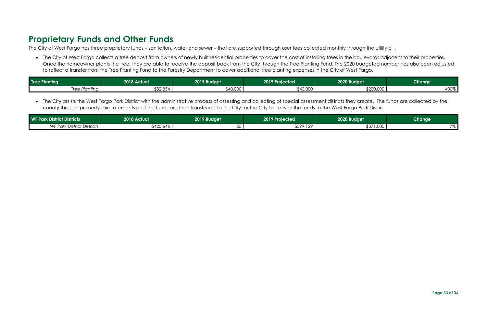## <span id="page-32-0"></span>**Proprietary Funds and Other Funds**

The City of West Fargo has three proprietary funds – sanitation, water and sewer – that are supported through user fees collected monthly through the utility bill.

• The City of West Fargo collects a tree deposit from owners of newly built residential properties to cover the cost of installing trees in the boulevards adjacent to their properties. Once the homeowner plants the tree, they are able to receive the deposit back from the City through the Tree Planting Fund. The 2020 budgeted number has also been adjusted to reflect a transfer from the Tree Planting Fund to the Forestry Department to cover additional tree planting expenses in the City of West Fargo.

| <b>Tree Planting</b><br>2018 Actualı |                    | 2019 Budget | 2019 Projected      | 2020 Budget | Change                   |
|--------------------------------------|--------------------|-------------|---------------------|-------------|--------------------------|
| Tree Plantina<br><b>II つつ</b>        | ma ar<br>– 2,004 ل | \$40,000    | ∩∩ח ח⊿\$<br>,40,000 | \$200,000   | 100 <sub>0</sub><br>4UU% |

• The City assists the West Fargo Park District with the administrative process of assessing and collecting of special assessment districts they create. The funds are collected by the county through property tax statements and the funds are then transferred to the City for the City to transfer the funds to the West Fargo Park District

| <b>WF Park District Districts</b> | 2018 Actual | 2019 Budget | 2019 Projected   | 2020 Budget | Change!                        |
|-----------------------------------|-------------|-------------|------------------|-------------|--------------------------------|
| <b>WF Park District Districts</b> | \$425,646   |             | 129<br>\$399,129 | \$371,000   | $\overline{\phantom{a}}$<br>70 |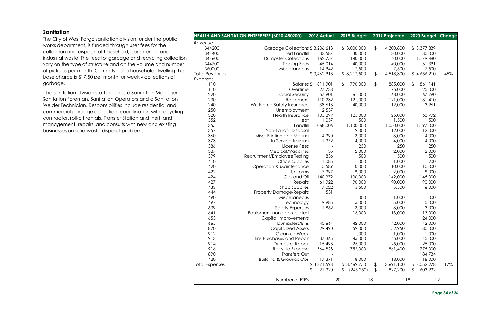#### **Page 34 of 36**

#### <span id="page-33-0"></span>**Sanitation**

The City of West Fargo sanitation division, under the public works department, is funded through user fees for the collection and disposal of household, commercial and industrial waste. The fees for garbage and recycling collection vary on the type of structure and on the volume and number of pickups per month. Currently, for a household dwelling the base charge is \$17.50 per month for weekly collections of garbage.

The sanitation division staff includes a Sanitation Manager, Sanitation Foreman, Sanitation Operators and a Sanitation Welder Technician. Responsibilities include residential and commercial garbage collection, coordination with recycling contractor, roll-off rentals, Transfer Station and inert landfill management, repairs, and consults with new and existing businesses on solid waste disposal problems.

|                       | HEALTH AND SANITATION ENTERPRISE (6010-450200) | 2018 Actual  | 2019 Budget              |               | 2019 Projected | 2020 Budget Change        |     |
|-----------------------|------------------------------------------------|--------------|--------------------------|---------------|----------------|---------------------------|-----|
| Revenue               |                                                |              |                          |               |                |                           |     |
| 344200                | Garbage Collections \$3,206,613                |              | \$3,000,000              | $\frac{1}{2}$ | 4,300,800      | \$3,377,839               |     |
| 344400                | Inert Landfill                                 | 33,587       | 30,000                   |               | 30,000         | 30,000                    |     |
| 344600                | <b>Dumpster Collections</b>                    | 162,757      | 140,000                  |               | 140,000        | 1,179,480                 |     |
| 344700                | <b>Tipping Fees</b>                            | 45,014       | 40,000                   |               | 40,000         | 61,391                    |     |
| 360000                | Miscellaneous                                  | 14,942       | 7,500                    |               | 7,500          | 7,500                     |     |
| <b>Total Revenues</b> |                                                | \$3,462,913  | \$3,217,500              | \$            | 4,518,300      | \$4,656,210               | 45% |
| Expenses              |                                                |              |                          |               |                |                           |     |
| 110                   | Salaries \$                                    | 811,901      | $\sqrt[6]{2}$<br>790,000 | \$            | 885,000        | 861,141<br>$\mathfrak{L}$ |     |
| 110                   | Overtime                                       | 27,738       |                          |               | 75,000         | 25,000                    |     |
| 220                   | Social Security                                | 57,901       | 61,000                   |               | 68,000         | 67,790                    |     |
| 230                   | Retirement                                     | 110,232      | 121,000                  |               | 121,000        | 131,410                   |     |
| 240                   | Workforce Safety Insurance                     | 38,613       | 40,000                   |               | 19,000         | 3,961                     |     |
| 250                   | Unemployment                                   | 2,537        |                          |               |                |                           |     |
| 320                   | <b>Health Insurance</b>                        | 105,899      | 125,000                  |               | 125,000        | 163,792                   |     |
| 352                   |                                                | 1,057        |                          |               | 1,500          | 1,500                     |     |
| 355                   | Heat                                           |              | 1,500                    |               |                |                           |     |
|                       | Landfill                                       | 1,068,006    | 1,100,000                |               | 1,050,000      | 1,197,000                 |     |
| 357                   | Non-Landfill Disposal                          |              | 12,000                   |               | 12,000         | 12,000                    |     |
| 360                   | Misc. Printing and Mailing                     | 4,390        | 3,000                    |               | 3,000          | 4,000                     |     |
| 373                   | In Service Training                            | 1,372        | 4,000                    |               | 4,000          | 4,000                     |     |
| 386                   | License Fees                                   |              | 250                      |               | 250            | 250                       |     |
| 387                   | Medical/Vaccines                               | 135          | 2,000                    |               | 2,000          | 2,000                     |     |
| 399                   | Recruitment/Employee Testing                   | 836          | 500                      |               | 500            | 500                       |     |
| 410                   | Office Supplies                                | 1,085        | 1,000                    |               | 1,000          | 1,200                     |     |
| 420                   | Operation & Maintenance                        | 5,589        | 10,000                   |               | 10,000         | 10,000                    |     |
| 422                   | Uniforms                                       | 7,397        | 9,000                    |               | 9,000          | 9,000                     |     |
| 424                   | Gas and Oil                                    | 140,372      | 130,000                  |               | 142,000        | 145,000                   |     |
| 427                   | Repairs                                        | 61,922       | 90,000                   |               | 90,000         | 90,000                    |     |
| 433                   | <b>Shop Supplies</b>                           | 7,022        | 5,500                    |               | 5,500          | 6,000                     |     |
| 444                   | <b>Property Damage-Repairs</b>                 | 531          |                          |               |                |                           |     |
| 490                   | Miscellaneous                                  |              | 1,000                    |               | 1,000          | 1,000                     |     |
| 497                   | Technology                                     | 9,985        | 5,000                    |               | 5,000          | 5,000                     |     |
| 639                   | <b>Safety Expenses</b>                         | 1,862        | 3,000                    |               | 3,000          | 3,000                     |     |
| 641                   | Equipment-non depreciated                      |              | 13,000                   |               | 13,000         | 13,000                    |     |
| 653                   | Capital Improvements                           |              |                          |               |                | 24,000                    |     |
| 665                   | Dumpsters/Bins                                 | 40,664       | 42,000                   |               | 42,000         | 42,000                    |     |
| 870                   | <b>Capitalized Assets</b>                      | 29,490       | 52,000                   |               | 52,950         | 180,000                   |     |
| 912                   | Clean up Week                                  |              | 1,000                    |               | 1,000          | 1,000                     |     |
| 913                   | Tire Purchases and Repair                      | 37,365       | 45,000                   |               | 45,000         | 45,000                    |     |
| 914                   | Dumpster Repair                                | 15,493       | 25,000                   |               | 25,000         | 25,000                    |     |
| 916                   | Recycle Expense                                | 764,828      | 752,000                  |               | 861,400        | 775,000                   |     |
| 890                   | Transfers Out                                  |              |                          |               |                | 184,734                   |     |
| 420                   | <b>Building &amp; Grounds Ops</b>              | 17,371       | 18,000                   |               | 18,000         | 18,000                    |     |
| <b>Total Expenses</b> |                                                | \$3,371,593  | \$3,462,750              | \$            | 3,691,100      | \$4,052,278               | 17% |
|                       |                                                | 91,320<br>\$ | \$<br>(245, 250)         | $\frac{1}{2}$ | 827,200        | \$<br>603,932             |     |
|                       | Number of FTE's                                |              | 20                       | 18            |                | 19<br>18                  |     |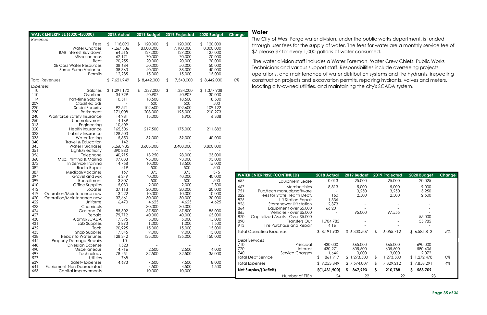#### <span id="page-34-0"></span>**Water**

The City of West Fargo water division, under the public works department, is funded through user fees for the supply of water. The fees for water are a monthly service fee of \$7 please \$7 for every 1,000 gallons of water consumed.

The water division staff includes a Water Foreman, Water Crew Chiefs, Public Works Technicians and various support staff. Responsibilities include overseeing projects operations, and maintenance of water distribution systems and fire hydrants, inspecting construction projects and excavation permits, repairing hydrants, valves and meters, locating city-owned utilities, and maintaining the city's SCADA system.

|            | <b>WATER ENTERPRISE (6020-450000)</b>                                                                                   | 2018 Actual                                                                    | 2019 Budget                                                                   |                         | 2019 Projected                                                | 2020 Budget                                                                     | Change     |
|------------|-------------------------------------------------------------------------------------------------------------------------|--------------------------------------------------------------------------------|-------------------------------------------------------------------------------|-------------------------|---------------------------------------------------------------|---------------------------------------------------------------------------------|------------|
| Revenue    |                                                                                                                         |                                                                                |                                                                               |                         |                                                               |                                                                                 |            |
|            | Fees<br><b>Water Charges</b><br><b>BAB Interest Buy down</b><br>Miscellaneous<br>Rent<br><b>SE Cass Water Resources</b> | $\mathfrak{L}$<br>118,090<br>7,267,586<br>64,515<br>62,171<br>20,255<br>38,684 | 120,000<br>$\mathbb{S}$<br>8,000,000<br>127,000<br>70,000<br>20,000<br>50,000 | $\sqrt[6]{\frac{1}{2}}$ | 120,000<br>7,100,000<br>127,000<br>70,000<br>20,000<br>50,000 | 120,000<br>$\mathfrak{L}$<br>8,000,000<br>127,000<br>70,000<br>20,000<br>50,000 |            |
|            | Sump Pump Variance<br>Permits                                                                                           | 38,363<br>12,285                                                               | 40,000<br>15,000                                                              |                         | 38,000<br>15,000                                              | 40,000<br>15,000                                                                |            |
|            | <b>Total Revenues</b>                                                                                                   | \$7,621,949                                                                    | \$8,442,000                                                                   | $\sqrt[6]{\frac{1}{2}}$ | 7,540,000                                                     | \$8,442,000                                                                     | 0%         |
| Expenses   |                                                                                                                         |                                                                                |                                                                               |                         |                                                               |                                                                                 |            |
| 110        | Salaries                                                                                                                | \$1,291,170                                                                    | \$1,339,000                                                                   | \$                      | 1,334,000                                                     | \$1,377,938                                                                     |            |
| 110<br>114 | Overtime<br><b>Part-time Salaries</b>                                                                                   | 34,729<br>10,511                                                               | 40,907<br>18,500                                                              |                         | 40,907<br>18,500                                              | 30,000<br>18,500                                                                |            |
| 209        | Classified ads                                                                                                          |                                                                                | 500                                                                           |                         | 500                                                           | 500                                                                             |            |
| 220        | Social Security                                                                                                         | 92,571                                                                         | 102,600                                                                       |                         | 102,600                                                       | 109,122                                                                         |            |
| 230        | Retirement                                                                                                              | 171,008                                                                        | 208,000                                                                       |                         | 195,000                                                       | 210,273                                                                         |            |
| 240        | Workforce Safety Insurance                                                                                              | 14,981                                                                         | 15,000                                                                        |                         | 6,900                                                         | 6,338                                                                           |            |
| 250        | Unemployment                                                                                                            | 4,169                                                                          |                                                                               |                         |                                                               |                                                                                 |            |
| 313        | Engineering                                                                                                             | 10,609                                                                         |                                                                               |                         |                                                               |                                                                                 |            |
| 320<br>323 | <b>Health Insurance</b><br>Liability Insurance                                                                          | 165,506<br>128,503                                                             | 217,500                                                                       |                         | 175,000                                                       | 211,882                                                                         |            |
| 335        | Water Testing                                                                                                           | 5,850                                                                          | 39,000                                                                        |                         | 39,000                                                        | 40,000                                                                          |            |
| 340        | Travel & Education                                                                                                      | 142                                                                            |                                                                               |                         |                                                               |                                                                                 |            |
| 345        | <b>Water Purchases</b>                                                                                                  | 3,268,935                                                                      | 3,605,000                                                                     |                         | 3,408,000                                                     | 3,800,000                                                                       |            |
| 351        | Lights/Electricity                                                                                                      | 390,880                                                                        |                                                                               |                         |                                                               |                                                                                 |            |
| 356        | Telephone                                                                                                               | 40,215                                                                         | 13,250                                                                        |                         | 28,000                                                        | 23,000                                                                          |            |
| 360<br>373 | Misc. Printing & Mailing<br>In Service Training                                                                         | 97,833<br>14,758                                                               | 93,000<br>10,000                                                              |                         | 93,000<br>13,500                                              | 93,000<br>15,000                                                                |            |
| 382        | Radio Repair                                                                                                            | 419                                                                            | 500                                                                           |                         | 500                                                           | 500                                                                             |            |
| 387        | Medical/Vaccines                                                                                                        | 169                                                                            | 375                                                                           |                         | 375                                                           | 375                                                                             |            |
| 394        | Gravel and Mix                                                                                                          | 6,249                                                                          | 40,000                                                                        |                         | 40,000                                                        | 40,000                                                                          | <b>WA</b>  |
| 399        | Recruitment                                                                                                             | 3,307                                                                          | 500                                                                           |                         | 500                                                           | 500                                                                             | 657        |
| 410        | Office Supplies                                                                                                         | 5,030                                                                          | 2,000                                                                         |                         | 2,000                                                         | 2,500                                                                           | 667        |
| 412<br>419 | Locates<br>Operation/Maintenance new                                                                                    | 37,118<br>13,222                                                               | 20,000<br>10,000                                                              |                         | 20,000<br>10,000                                              | 20,000<br>10,000                                                                | 751        |
| 420        | Operation/Maintenance new                                                                                               | 37,661                                                                         | 30,000                                                                        |                         | 30,000                                                        | 30,000                                                                          | 822        |
| 422        | Uniforms                                                                                                                | 6,470                                                                          | 4,625                                                                         |                         | 4,625                                                         | 4,625                                                                           | 825<br>826 |
| 423        | Chemicals                                                                                                               |                                                                                | 30,000                                                                        |                         | 30,000                                                        |                                                                                 | 864        |
| 424        | Gas and Oil                                                                                                             | 85,302                                                                         | 67,500                                                                        |                         | 67,500                                                        | 85,000                                                                          | 865        |
| 427        | Repairs                                                                                                                 | 79,712                                                                         | 40,000                                                                        |                         | 40,000                                                        | 65,000                                                                          | 870        |
| 430<br>431 | Alarms/SCADA<br>Lab Supplies                                                                                            | 17,395<br>2,893                                                                | 5,000<br>1,000                                                                |                         | 5,000<br>1,000                                                | 15,000<br>1,500                                                                 | 890        |
| 432        | Tools                                                                                                                   | 20,925                                                                         | 15,000                                                                        |                         | 15,000                                                        | 15,000                                                                          | 913        |
| 433        | <b>Shop Supplies</b>                                                                                                    | 17,345                                                                         | 9,000                                                                         |                         | 9,000                                                         | 13,000                                                                          | Tot        |
| 438        | Repair to Water Lines                                                                                                   | 128,342                                                                        | 135,000                                                                       |                         | 135,000                                                       | 150,000                                                                         |            |
| 444        | <b>Property Damage-Repairs</b>                                                                                          | 10                                                                             |                                                                               |                         |                                                               |                                                                                 | Del        |
| 448        | <b>Diversion Expense</b>                                                                                                | 1,523                                                                          |                                                                               |                         |                                                               |                                                                                 | 710<br>720 |
| 490        | Miscellaneous                                                                                                           | 4,716                                                                          | 2,500                                                                         |                         | 2,500                                                         | 4,000                                                                           | 740        |
| 497<br>527 | Technology<br><b>Utilities</b>                                                                                          | 78,451<br>768                                                                  | 32,500                                                                        |                         | 32,500                                                        | 35,000                                                                          | Tot        |
| 639        | <b>Safety Expenses</b>                                                                                                  | 4,693                                                                          | 7,500                                                                         |                         | 7,500                                                         | 8,000                                                                           | Tot        |
| 641        | Equipment-Non Depreciated                                                                                               |                                                                                | 4,500                                                                         |                         | 4,500                                                         | 4,500                                                                           |            |
| 653        | <b>Capital Improvements</b>                                                                                             |                                                                                | 10,000                                                                        |                         | 10,000                                                        |                                                                                 | <b>Net</b> |
|            |                                                                                                                         |                                                                                |                                                                               |                         |                                                               |                                                                                 |            |

|                                                                                                                                                                      | <b>WATER ENTERPRISE (CONTINUED)</b>                                                                                                                                                                                                                                      | 2018 Actual                                                                 | 2019 Budget                                                               | 2019 Projected                                                                                | 2020 Budget                                                                | <b>Change</b> |
|----------------------------------------------------------------------------------------------------------------------------------------------------------------------|--------------------------------------------------------------------------------------------------------------------------------------------------------------------------------------------------------------------------------------------------------------------------|-----------------------------------------------------------------------------|---------------------------------------------------------------------------|-----------------------------------------------------------------------------------------------|----------------------------------------------------------------------------|---------------|
| 657                                                                                                                                                                  | Equipment Lease                                                                                                                                                                                                                                                          | 10,013                                                                      | 25,000                                                                    | 25,000                                                                                        | 20,025                                                                     |               |
| 667<br>751<br>822<br>825<br>826<br>864<br>865<br>870<br>890<br>913                                                                                                   | Memberships<br>Pub/tech manuals/software<br>Fees for State Health Dept.<br><b>Lift Station Repair</b><br>Storm sewer Lift station<br>Equipment over \$5,000<br>Vehicles - over \$5,000<br>Capitalized Assets - Over \$5,000<br>Transfers Out<br>Tire Purchase and Repair | 8,813<br>160<br>1,336<br>2,373<br>166,201<br>1,704,785<br>4,161             | 5,000<br>3,250<br>2,500<br>95,000                                         | 5,000<br>3,250<br>2,500<br>97,555                                                             | 9,000<br>3,250<br>2,500<br>55,000<br>55,985                                |               |
|                                                                                                                                                                      | <b>Total Operating Expenses</b>                                                                                                                                                                                                                                          | \$8,191,932                                                                 | \$6,300,507                                                               | $\mathfrak{L}$<br>6,055,712                                                                   | \$6,585,813                                                                | 5%            |
| Debt Services<br>710<br>Principal<br>720<br>Interest<br>740<br>Service Charaes<br><b>Total Debt Service</b><br><b>Total Expenses</b><br><b>Net Surplus/(Deficit)</b> |                                                                                                                                                                                                                                                                          | 430,000<br>430,271<br>1,646<br>861,917<br>£<br>\$9,053,849<br>\$(1,431,900) | 665,000<br>605,500<br>3,000<br>\$1,273,500<br>\$7.574.007<br>867,993<br>S | 665,000<br>605,500<br>3,000<br>\$<br>1,273,500<br>$\mathcal{L}$<br>7,329,212<br>\$<br>210,788 | 690,000<br>580,406<br>2,072<br>\$1,272,478<br>\$7,858,291<br>583,709<br>S. | 0%<br>4%      |
|                                                                                                                                                                      | Number of FTE's                                                                                                                                                                                                                                                          | 24                                                                          | 22                                                                        | 22                                                                                            | 23                                                                         |               |